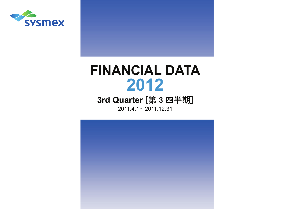

# **FINANCIAL DATA 2012**

## **3rd Quarter**  [ 第 3 四 半 期 ]

 $20$ 11.4.1 $\sim$ 2011.12.31

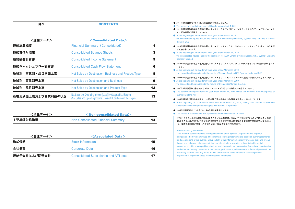目次

| <連結データ>           | $<$ Consolidated Data $>$                                                                                                             |    |
|-------------------|---------------------------------------------------------------------------------------------------------------------------------------|----|
| 連結決算概要            | <b>Financial Summary (Consolidated)</b>                                                                                               |    |
| 連結貸借対照表           | <b>Consolidated Balance Sheets</b>                                                                                                    | 3  |
| 連結損益計算書           | <b>Consolidated Income Statement</b>                                                                                                  | 5  |
| 連結キャッシュフロー計算書     | <b>Consolidated Cash Flow Statement</b>                                                                                               | 6  |
| 地域別·事業別·品目別売上高    | Net Sales by Destination, Business and Product Type                                                                                   | 8  |
| 地域別・事業別売上高        | <b>Net Sales by Destination and Business</b>                                                                                          | 9  |
| 地域別・品目別売上高        | Net Sales by Destination and Product Type                                                                                             | 12 |
| 所在地別売上高および営業利益の状況 | Net Sales and Operating Income (Loss) by Geographical Region<br>(Net Sales and Operating Income (Loss) of Subsidiaries in the Region) | 13 |

**CONTENTS** 

| <単独データ>  | $\leq$ Non-consolidated Data $>$   |    |
|----------|------------------------------------|----|
| 主要単独財務指標 | Non-Consolidated Financial Summary | 14 |

| <関連データ>      | $\leq$ Associated Data $>$                      |    |
|--------------|-------------------------------------------------|----|
| 株式情報         | <b>Stock Information</b>                        | 15 |
| 会社概要         | Corporate Data                                  | 16 |
| 連結子会社および関連会社 | <b>Consolidated Subsidiaries and Affiliates</b> | 17 |

- 2011年4月1日付で1株を2株に株式分割を実施しました。
- The shares of shareholders was split two for one on April 1, 2011.
- 2011年3月期第4四半期の連結決算よりシスメックスフィリピン、シスメックスロシア、ハイフェンバイオ メッドの業績が反映されています。
- At the beginning of 4th quarter of fiscal year ended March 31, 2011 the consolidated figures include the results of Sysmex Philippines Inc, Sysmex RUS LLC and HYPHEN BioMed, SAS.
- 2010年3月期第4四半期の連結決算よりヒタド、シスメックスエスパーニャ、シスメックスベトナムの業績 が反映されています。
- At the beginning of 4th quarter of fiscal year ended March 31, 2010, the consolidated figures include the results of HITADO GmbH, Sysmex Espana S.L., Sysmex Vietnam Company Limited.
- 2010年3月期第1四半期の連結決算よりシスメックスベルギー、シスメックスオランダの業績が反映されて います。
- At the beginning of 1st quarter of fiscal year ended March 31, 2010, the consolidated figures include the results of Sysmex Belgium N.V, Sysmex Nederland B.V.
- 2009年3月期第1四半期の連結決算よりシスメックス・ビオメリュー株式会社の業績が反映されています。
- At the beginning of 1st quarter of fiscal year ended March 31, 2009 the consolidated figures include the results of Sysmex bioMerieux Co., Ltd.

#### ● 2007年3月期通期の連結決算よりシスメックスデジタナの業績が反映されています。

- The consolidated figures for fiscal year ended March 31, 2007 include the results of the annual period of Sysmex Digitana AG.
- 2006年3月期の第1四半期より、一部を除く連結子会社の決算期を親会社に統一しています。
- At the beginning of 1st quarter of fiscal year ended March 31, 2006, closing date of most consolidated subsidiaries was changed to be aligned with Sysmex Corporation.
- 2005年11月18日付で1株を2株に株式分割を実施しました。
- The shares of shareholders was split two for one on November 18, 2005.

本資料のうち、業績見通し等に記載されている各数値は、現在入手可能な情報による判断および仮定に基づき算出しており、判断や仮定に内在する不確定性および今後の事業運営や内外の状況変化により、実際の業績等が見通しの数値と大きく異なる可能性があります。

#### Forward-looking Statements

This material contains forward-looking statements about Sysmex Corporation and its group companies (the Sysmex Group). These forward-looking statements are based on current judgments and assumptions of the Sysmex Group in light of the information currently available to it, and involve known and unknown risks, uncertainties and other factors, including but not limited to: global economic conditions, competitive situations and changes in exchange rates. Such risks, uncertainties and other factors may cause our actual results, performance, achievements or financial position to be materially different from any future results, performance, achievements or financial position expressed or implied by these forward-looking statements.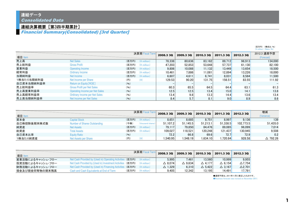## 連結決算概要[第3四半期累計]

Financial Summary(Consolidated) [3rd Quarter]

|            |                                       |       |                         |           |                  |           |                  |                  | \ロソハハ \ \ \ \\\\\\\\<br>(¥ million) (Ratio: %) |
|------------|---------------------------------------|-------|-------------------------|-----------|------------------|-----------|------------------|------------------|------------------------------------------------|
|            |                                       |       | 決算期 Fiscal Term         | 2008.3 3Q | 2009.3 3Q        | 2010.3 3Q | <b>2011.3 3Q</b> | 2012.3 3Q        | 2012.3 通期予想                                    |
| 項目 Item    |                                       |       |                         |           |                  |           |                  |                  | (Forecast)                                     |
| 売上高        | <b>Net Sales</b>                      |       | $($ 百万円) $($ ¥ million) | 78.338    | 80.636           | 83.162    | 89.712           | 96,913           | 134.000                                        |
| 売上総利益      | <b>Gross Profit</b>                   | (百万円) | $(*$ million)           | 47.203    | 52.853           | 53,648    | 57.737           | 61.130           | 82.100                                         |
| 営業利益       | Operating Income                      |       | $($ 百万円) $($ ¥ million) | 9.806     | 10.088           | 11.132    | 13.449           | 13.654           | 18,500                                         |
| 経常利益       | Ordinary Income                       | (百万円) | $(*$ million)           | 10.461    | 7.886            | 11.081    | 12.894           | 13.226           | 18,000                                         |
| 当期純利益      | Net Income                            | (百万円) | $(*$ million)           | 6.607     | 4.611            | 6.741     | 8.031            | 8,584            | 11.500                                         |
| 1株当たり当期純利益 | Net Income per Share                  | (円)   | $(\c{4})$               | 129.53    | 90.20            | 131.75    | 156.51           | 83.55            | 111.92                                         |
| 自己資本当期純利益率 | Return on Equity [ROE]                | (96)  |                         |           |                  |           |                  |                  | $-$                                            |
| 売上総利益率     | <b>Gross Profit per Net Sales</b>     | (96)  |                         | 60.3      | 65.5             | 64.5      | 64.4             | 63.1             | 61.3                                           |
| 売上高営業利益率   | <b>Operating Income per Net Sales</b> | (96)  |                         | 12.5      | 12.5             | 13.4      | 15.0             | 14.1             | 13.8                                           |
| 売上高経常利益率   | Ordinary Income per Net Sales         | (96)  |                         | 13.4      | 9.8 <sub>1</sub> | 13.3      | 14.4             | 13.6             | 13.4                                           |
| 売上高当期純利益率  | Net Income per Net Sales              | (96)  |                         | 8.4       | 5.7              | 8.1       | 9.0              | 8.9 <sub>1</sub> | 8.6                                            |

|             |                                     |       | 決算期 Fiscal Term         |            | 2009.3 3Q | 2010.3 3Q | 2011.3 3Q | 2012.3 30 | 増減                 |
|-------------|-------------------------------------|-------|-------------------------|------------|-----------|-----------|-----------|-----------|--------------------|
| 項目 Item     |                                     |       |                         | 2008.3 3Q  |           |           |           |           | (Variance)         |
| 資本金         | <b>Capital Stock</b>                | (百万円) | $(\frac{2}{3})$ million | 8.651      | 8.685     | 8.751     | 8.997     | 9.136     | 139                |
| 自己株控除後期末株式数 | <b>Number of Shares Outstanding</b> | (千株)  | (thousand shares)       | 51.107.2   | 51.145.5  | 51.213.1  | 51.338.5  | 102.773.5 | 51.435.0           |
| 純資産         | <b>Net Assets</b>                   | (百万円) | $(\frac{2}{3})$ million | 79.117     | 79,850    | 84.476    | 89,085    | 96.099    | 7.014              |
| 総資産         | <b>Total Assets</b>                 | (百万円) | $(4$ million)           | 109.027    | 118.521   | 120.248   | 121.437   | 130.945   | 9.508              |
| 自己資本比率      | <b>Equity Ratio</b>                 | (96)  |                         | 72.2       | 66.8      | 69.6      | 72.7      | 72.9      | 0.2                |
| 1株当たり純資産    | Net Assets per Share                | (H)   |                         | ا540.95. ا | .548.19   | 1.634.10  | .720.84   | 928.58    | $\triangle$ 792.26 |

| 項目 Item          |                                                                           |       | 決算期 Fiscal Term         | 2008.3 30         | 2009.3 30         | 2010.3 3Q         | <b>2011.3 3Q</b>  | 2012.3 30      |
|------------------|---------------------------------------------------------------------------|-------|-------------------------|-------------------|-------------------|-------------------|-------------------|----------------|
| 営業活動によるキャッシュ・フロー | Net Cash Provided by (Used in) Operating Activities (百万円)                 |       | $(\frac{2}{3})$ million | 5.995             | 7.461             | 13.560            | 10.999            | 9.955          |
| 投資活動によるキャッシュ・フロー | Net Cash Provided by (Used in) Investment Activities (百万円) $(*)$ million) |       |                         | $\triangle$ 8.074 | $\triangle$ 9.634 | $\triangle$ 4.177 | $\triangle$ 6.154 | $\Delta$ 7.754 |
| 財務活動によるキャッシュ・フロー | Net Cash Provided by (Used in) Financing Activities (百万円)                 |       |                         |                   |                   | $\triangle$ 5.422 | $\triangle$ 3.167 |                |
|                  |                                                                           |       | $(\frac{2}{3})$ million | $\triangle$ 1.329 | 6.310             |                   |                   | $\Delta$ 2.701 |
| 現金及び現金同等物の期末残高   | Cash and Cash Equivalents at End of Term                                  | (百万円) | $(4$ million)           | 9.405             | 12.342            | 13.195            | 14.491            | 17.791         |

●通期予想は、2011年11月に修正したものです。

●Business forecast was revised on November 2011.

(百万円) (構成比:%)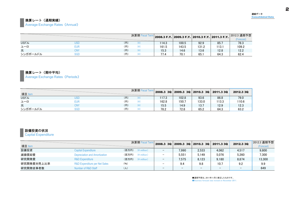## 換算レート(通期実績)

**Average Exchange Rates (Annual)** 

|              |     |     |                    |       |       |       |       | 2012.3 通期予想<br><b>Forecast)</b> |
|--------------|-----|-----|--------------------|-------|-------|-------|-------|---------------------------------|
| <b>USFIL</b> | USD | (円) | $(\divideontimes)$ | 114.3 | 100.5 | 92.9  | 85.   | 78.3                            |
| ユーロ          | eur | (円) | $(\divideontimes)$ | 161.5 | 143.5 | 131.2 | 113.1 | 109.2                           |
| 元            | CNY | (円) | $(\divideontimes)$ | 15.3  | 14.6  | 13.6  | 12.8  | 12.2                            |
| シンガポールドル     | SGD | (円) | (¥                 | 77.4  | 70.1  | 65.   | 64.3  | 62.4                            |

## 換算レート(期中平均)

Average Exchange Rates (Periods)

|              |     |     | 决算期 Fiscal Term 2008.3 3Q 2009.3 3Q 2010.3 3Q 2011.3 3Q D |       |       |       |       | 2012.3 3Q |
|--------------|-----|-----|-----------------------------------------------------------|-------|-------|-------|-------|-----------|
| 項目 Item      |     |     |                                                           |       |       |       |       |           |
| <b>USFIL</b> | JSD | (円) | (¥)                                                       | 117.3 | 102.8 | 93.6  | 86.8  | 79.0      |
| ユーロ          | EUR | (円) |                                                           | 162.8 | 150.7 | 133.0 | 113.3 | 110.6     |
| 元            | CNY | (円) | (¥)                                                       | 15.5  | 14.9  | 13.7  | 12.9  | 12.3      |
| シンガポールドル     | SGD | (円) |                                                           | 78.2  | 72.8  | 65.2  | 64.3  | 63.2      |

## 設備投資の状況

**Capital Expenditure** 

|            |                                          |             | 決算期 Fiscal Term         |                          | $2008.3$ 3Q $2009.3$ 3Q $2010.3$ 3Q $2011.3$ 3Q |                          | 2012.3 3Q                | 2012.3 通期予想 |
|------------|------------------------------------------|-------------|-------------------------|--------------------------|-------------------------------------------------|--------------------------|--------------------------|-------------|
| 項目 Item    |                                          |             |                         |                          |                                                 |                          |                          | (Forecast)  |
| 設備投資       | <b>Capital Expenditure</b>               | (百万円)       | $(*$ million)           | 7.990                    | 2.533                                           | 4.062                    | 4.517                    | 9.800       |
| 減価償却費      | Depreciation and Amortization            | (百万円)       | $(*)$ million)          | 5.551                    | 5.149                                           | 5.076                    | 5.260                    | 7.300       |
| 研究開発費      | <b>R&amp;D Expenditure</b>               | (百万円)       | $(\frac{2}{3})$ million | 7.575                    | 8.123                                           | 9.180                    | 8.874                    | 13,300      |
| 研究開発費対売上比率 | <b>R&amp;D Expenditure per Net Sales</b> | (96)        |                         | 9.4                      | 9.8                                             | 10.7                     | 9.2                      | 9.9         |
| 研究開発従事者数   | Number of R&D Staff                      | $(\lambda)$ |                         | $\overline{\phantom{0}}$ | -                                               | $\overline{\phantom{0}}$ | $\overline{\phantom{0}}$ | 649         |

●通期予想は、2011年11月に修正したものです。 ●Business forecast was revised on November 2011. 連結データConsolidated Data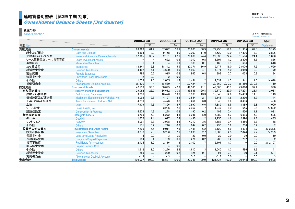## 連結貸借対照表[第3四半期 期末] いっちょう しょうしょう しょうしょう しょうしょう しゅうしゅう しゅうしゅう しゅうしょう

## Consolidated Balance Sheets [3rd Quarter]

### 資産の部

**Assets Section** 

|                |                                           |                | 2008.3 30 |               | 2009.3 3Q | 2010.3 3Q       |       | 2011.3 3Q       |                 | 2012.3 3Q       |                 | 増減                |
|----------------|-------------------------------------------|----------------|-----------|---------------|-----------|-----------------|-------|-----------------|-----------------|-----------------|-----------------|-------------------|
| 項目 Item        |                                           |                | $\%$      |               | $\%$      |                 | $\%$  |                 | $\%$            |                 | $\%$            | (Variance)        |
| 流動資産           | <b>Current Assets</b>                     | 66,923         | 61.4      | 67.622        | 57.1      | 70.883          | 58.9  | 72.756          | 59.9            | 81,935          | 62.6            | 9.179             |
| 現金及び預金         | <b>Cash and Deposits</b>                  | 9,694          | 8.9       | 9.458         | 8.0       | 13,203          | 11.0  | 14.520          | 12.0            | 17,326          | 13.2            | 2.806             |
| 受取手形及び売掛金      | Notes and Accounts Receivable-trade       | 32,965         | 30.2      | 32,101        | 27.1      | 29,289          | 24.4  | 29,638          | 24.4            | 31,504          | 24.1            | 1,866             |
| リース債権及びリース投資資産 | <b>Lease Investment Assets</b>            |                |           | 622           | 0.5       | 1,012           | 0.8   | 1.504           | 1.2             | 2,370           | 1.8             | 866               |
| 有価証券           | <b>Marketable Securities</b>              | 71             | 0.1       | 104           | 0.1       | 133             | 0.1   | 166             | 0.1             | 684             | 0.5             | 518               |
| たな卸資産          | Inventories                               | 18.341         | 16.8      | 18.342        | 15.5      | 20.371          | 16.9  | 19.477          | 16.0            | 23.076          | 17.6            | 3,599             |
| 繰延税金資産         | <b>Deferred Tax Assets</b>                | 4,492          | 4.1       | 4.600         | 3.9       | 4.900           | 4.1   | 4.871           | 4.0             | 4.950           | 3.8             | 79                |
| 前払費用           | <b>Prepaid Expenses</b>                   | 796            | 0.7       | 915           | 0.8       | 965             | 0.8   | 899             | 0.7             | 1.033           | 0.8             | 134               |
| 短期貸付金          | <b>Short-term Loans Receivable</b>        | $\overline{2}$ | 0.0       |               | 0.0       |                 |       |                 |                 |                 |                 |                   |
| その他            | <b>Others</b>                             | 1,058          | 1.0       | 2.005         | 1.7       | 1.431           | 1.2   | 2.039           | 1.7             | 1.341           | 1.0             | $\Delta$ 698      |
| 貸倒引当金          | <b>Allowance for Doubtful Accounts</b>    | $\Delta$ 500   |           | $\Delta$ 530  |           | $\triangle$ 424 |       | $\triangle$ 360 | $\triangle$ 0.3 | $\triangle$ 350 | $\triangle$ 0.3 | 10                |
| 固定資産           | <b>Noncurrent Assets</b>                  | 42,103         | 38.6      | 50.899        | 42.9      | 49.365          | 41.1  | 48.680          | 40.1            | 49.010          | 37.4            | 330               |
| 有形固定資産         | <b>Property, Plant and Equipment</b>      | 29,082         | 26.7      | 36.612        | 30.9      | 35.886          | 29.8  | 35.170          | 29.0            | 37,201          | 28.4            | 2,031             |
| 建物及び構築物        | <b>Buildings and Structures</b>           | 9.256          | 8.5       | 16.476        | 13.9      | 15,938          | 13.3  | 15.346          | 12.6            | 15.459          | 11.8            | 113               |
| 機械装置及び運搬具      | Machinery, Equipment and Vehicles, Net    | 3,093          | 2.8       | 4.197         | 3.5       | 2,544           | 2.1   | 2.146           | 1.8             | 2,290           | 1.7             | 144               |
| 工具、器具及び備品      | <b>Tools. Furniture and Fixtures. Net</b> | 4,219          | 3.9       | 4,476         | 3.8       | 7,264           | 6.0   | 8.040           | 6.6             | 8,496           | 6.5             | 456               |
| 土地             | Land                                      | 7.909          | 7.3       | 7.896         | 6.7       | 7.897           | 6.6   | 7.889           | 6.5             | 8.889           | 6.8             | 1.000             |
| リース資産          | Lease Assets, Net                         |                |           | 3.286         | 2.8       | 2.052           | 1.7   | 1.247           | 1.0             | 645             | 0.5             | $\triangle$ 602   |
| 建設仮勘定          | <b>Construction in Progress</b>           | 4,603          | 4.2       | 278           | 0.2       | 190             | 0.2   | 499             | 0.4             | 1.420           | 1.1             | 921               |
| 無形固定資産         | <b>Intangible Assets</b>                  | 5,795          | 5.3       | 5.272         | 4.4       | 6,046           | 5.0   | 6.380           | 5.3             | 6.985           | 5.3             | 605               |
| のれん            | Goodwill                                  | 1,532          | 1.4       | 1.097         | 0.9       | 1.490           | 1.2   | 1.955           | 1.6             | 2,390           | 1.8             | 435               |
| ソフトウェア         | <b>Software</b>                           | 4.091          | 3.8       | 3.928         | 3.3       | 4.310           | 3.6   | 4.188           | 3.4             | 4.356           | 3.3             | 168               |
| その他            | <b>Others</b>                             | 171            | 0.2       | 246           | 0.2       | 244             | 0.2   | 236             | 0.2             | 238             | 0.2             | $\overline{2}$    |
| 投資その他の資産       | <b>Investments and Other Assets</b>       | 7,226          | 6.6       | 9.014         | 7.6       | 7.431           | 6.2   | 7,129           | 5.9             | 4,824           | 3.7             | $\triangle$ 2,305 |
| 投資有価証券         | <b>Investment Securities</b>              | 3.077          | 2.8       | 3.256         | 2.7       | 3,295           | 2.7   | 3.083           | 2.5             | 2,824           | 2.2             | $\triangle$ 259   |
| 長期貸付金          | Long-term Loans Receivable                |                | 0.0       |               | 0.0       | 29              | 0.0   | 29              | 0.0             | 39              | 0.0             | 10                |
| 長期前払費用         | <b>Long-term Prepaid Expenses</b>         | 154            | 0.1       | 139           | 0.1       | 271             | 0.2   | 280             | 0.2             | 282             | 0.2             | $\overline{2}$    |
| 投資不動産          | <b>Real Estate for Investment</b>         | 2,124          | 1.9       | 2.116         | 1.8       | 2.102           | 1.7   | 2.101           | 1.7             |                 | 0.0             | $\triangle$ 2,107 |
| 前払年金費用         | <b>Prepaid Pension Cost</b>               |                |           |               | 0.0       |                 |       |                 |                 |                 | 0.0             |                   |
| その他            | <b>Others</b>                             | 1,612          | 1.5       | 3,276         | 2.8       | 1.610           | 1.3   | 1.545           | 1.3             | 1,586           | 1.2             | 41                |
| 繰延税金資産         | <b>Deferred Tax Assets</b>                | 255            | 0.2       | 220           | 0.2       | 125             | 0.1   | 91              | 0.1             | 90              | 0.1             | $\Delta$ 1        |
| 貸倒引当金          | <b>Allowance for Doubtful Accounts</b>    | $\triangle$ 3  |           | $\triangle$ 3 |           | $\triangle$ 3   |       | $\triangle$ 3   | 0.0             |                 | 0.0             |                   |
| 資産合計           | <b>Total Assets</b>                       | 109.027        | 100.0     | 118,521       | 100.0     | 120.248         | 100.0 | 121.437         | 100.0           | 130.945         | 100.0           | 9.508             |

(百万円) (構成比:%)<br>(¥ million) (Ratio:%)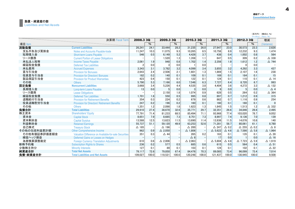#### 負債・純資産の部 Liabilities and Net Assets

|              |                                                       |              |       |                   |       |                   |       |                   |                 |                   |                 | (百万円) (構成比:%)<br>(¥ million) (Ratio: %) |
|--------------|-------------------------------------------------------|--------------|-------|-------------------|-------|-------------------|-------|-------------------|-----------------|-------------------|-----------------|-----------------------------------------|
|              | 決算期 Fiscal Term                                       | 2008.3 3Q    |       | 2009.3 3Q         |       | 2010.3 3Q         |       | 2011.3 3Q         |                 | 2012.3 3Q         |                 | 増減                                      |
| 項目 Item      |                                                       |              | %     |                   | $\%$  |                   | $\%$  |                   | %               |                   | $\frac{0}{0}$   | (Variance)                              |
| 流動負債         | <b>Current Liabilities</b>                            | 26.241       | 24.1  | 33.444            | 28.2  | 31,235            | 26.0  | 27.947            | 23.0            | 30.573            | 23.3            | 2.626                                   |
| 支払手形及び買掛金    | Notes and Accounts Pavable-trade                      | 11,247       | 10.3  | 11.075            | 9.3   | 10.265            | 8.5   | 10.758            | 8.9             | 12,232            | 9.3             | 1,474                                   |
| 短期借入金        | <b>Short-term Loans Payable</b>                       | 546          | 0.5   | 6.149             | 5.2   | 4.426             | 3.7   | 438               | 0.4             | 1.002             | 0.8             | 564                                     |
| リース債務        | <b>Current Portion of Lease Obligations</b>           |              |       | 1.520             | 1.3   | 1.358             | 1.1   | 647               | 0.5             | 309               | 0.2             | $\triangle$ 338                         |
| 未払法人税等       | <b>Income Taxes Pavable</b>                           | 2,061        | 1.9   | 948               | 0.8   | 1.702             | 1.4   | 2.356             | 1.9             | 1.612             | 1.2             | $\triangle$ 744                         |
| 繰延税金負債       | <b>Deferred Tax Liabilities</b>                       |              | 0.0   |                   | 0.0   |                   | 0.0   |                   |                 |                   | 0.0             |                                         |
| 未払費用         | <b>Accrued Expenses</b>                               | 3.343        | 3.1   | 3.782             | 3.2   | 4.099             | 3.4   | 3.855             | 3.2             | 4.292             | 3.3             | 437                                     |
| 賞与引当金        | <b>Provision for Bonuses</b>                          | 2,643        | 2.4   | 2.506             | 2.1   | 1.601             | 1.3   | 1.869             | 1.5             | 2,107             | 1.6             | 238                                     |
| 役員賞与引当金      | <b>Provision for Directors' Bonuses</b>               | 182          | 0.2   | 140               | 0.1   | 109               | 0.1   | 169               | 0.1             | 184               | 0.1             | 15                                      |
| 製品保証引当金      | <b>Provision for Product Warranties</b>               | 423          | 0.4   | 150               | 0.1   | 122               | 0.1   | 124               | 0.1             | 110               | 0.1             | $\triangle$ 14                          |
| その他          | <b>Others</b>                                         | 5,790        | 5.3   | 7.166             | 6.0   | 7.548             | 6.3   | 7.727             | 6.4             | 8.720             | 6.7             | 993                                     |
| 固定負債         | <b>Noncurrent Liabilities</b>                         | 3,668        | 3.4   | 5.226             | 4.4   | 4,535             | 3.8   | 4,404             | 3.6             | 4,272             | 3.3             | $\triangle$ 132                         |
| 長期借入金        | Long-term Loans Pavable                               | 13           | 0.0   | 5                 | 0.0   |                   | 0.0   | 9                 | 0.0             | 5                 | 0.0             | $\triangle$ 4                           |
| リース債務        | <b>Lease Obligations</b>                              |              |       | 2.150             | 1.8   | 1.074             | 0.9   | 628               | 0.5             | 264               | 0.2             | $\triangle$ 364                         |
| 繰延税金負債       | <b>Deferred Tax Liabilities</b>                       | 1.701        | 1.6   | 550               | 0.5   | 995               | 0.8   | 897               | 0.7             | 1.212             | 0.9             | 315                                     |
| 退職給付引当金      | <b>Provision for Retirement Benefits</b>              | 354          | 0.3   | 224               | 0.2   | 679               | 0.6   | 862               | 0.7             | 1.116             | 0.9             | 254                                     |
| 役員退職慰労引当金    | <b>Provision for Directors' Retirement Benefits</b>   | 247          | 0.2   | 196               | 0.2   | 160               | 0.1   | 160               | 0.1             | 160               | 0.1             | $\Omega$                                |
| その他          | <b>Others</b>                                         | 1,351        | 1.2   | 2.098             | 1.8   | 1.623             | 1.3   | 1.845             | 1.5             | 1,513             | 1.2             | $\triangle$ 332                         |
| 負債合計         | <b>Total Liabilities</b>                              | 29,910       | 27.4  | 38.670            | 32.6  | 35,771            | 29.7  | 32,351            | 26.6            | 34,846            | 26.6            | 2.495                                   |
| 株主資本         | <b>Shareholders' Equity</b>                           | 77.791       | 71.4  | 81.233            | 68.5  | 85.494            | 71.1  | 93.968            | 77.4            | 103.020           | 78.7            | 9.052                                   |
| 資本金          | <b>Capital Stock</b>                                  | 8,651        | 7.9   | 8.685             | 7.3   | 8,751             | 7.3   | 8.997             | 7.4             | 9,136             | 7.0             | 139                                     |
| 資本剰余金        | <b>Capital Surplus</b>                                | 13,588       | 12.5  | 13.623            | 11.5  | 13,690            | 11.4  | 13,936            | 11.5            | 14.076            | 10.8            | 140                                     |
| 利益剰余金        | <b>Retained Earnings</b>                              | 55,737       | 51.1  | 59.120            | 49.9  | 63.253            | 52.6  | 71,281            | 58.7            | 80.061            | 61.1            | 8.780                                   |
| 自己株式         | <b>Treasury Stock</b>                                 | $\Delta$ 185 |       | $\Delta$ 196      |       | $\triangle 200$   |       | $\triangle$ 247   | $\triangle$ 0.2 | $\triangle$ 255   | $\triangle$ 0.2 | $\triangle$ 8                           |
| その他の包括利益累計額  | <b>Other Comprehensive Income</b>                     | 962          | 0.9   | $\triangle$ 2.050 |       | $\triangle$ 1,806 |       | $\triangle$ 5.622 | $\triangle$ 4.6 | $\Delta$ 7.586    | $\triangle$ 5.8 | $\Delta$ 1,964                          |
| その他有価証券評価差額金 | Valuation Difference on Available-for-sale Securities | 351          | 0.3   | $\triangle$ 44    |       | 265               | 0.2   | 163               | 0.1             | 135               | 0.1             | $\Delta$ 28                             |
| 繰延ヘッジ損益      | Deferred Gains or Losses on Hedges                    |              |       |                   |       | $\triangle$ 8     |       | 17                | 0.0             |                   | 0.0             | $\Delta$ 16                             |
| 為替換算調整勘定     | <b>Foreign Currency Translation Adiustments</b>       | 610          | 0.6   | $\triangle$ 2.006 |       | $\triangle$ 2.063 |       | $\triangle$ 5.804 | $\triangle$ 4.8 | $\triangle$ 7.723 | $\triangle$ 5.9 | $\Delta$ 1,919                          |
| 新株予約権        | <b>Subscription Rights to Shares</b>                  | 236          | 0.2   | 577               | 0.5   | 685               | 0.6   | 615               | 0.5             | 564               | 0.4             | $\Delta$ 51                             |
| 少数株主持分       | <b>Minority Interests</b>                             | 127          | 0.1   | 89                | 0.1   | 103               | 0.1   | 124               | 0.1             | 102               | 0.1             | $\triangle$ 22                          |
| 純資産合計        | <b>Total Net Assets</b>                               | 79,117       | 72.6  | 79.850            | 67.4  | 84.476            | 70.3  | 89,085            | 73.4            | 96.099            | 73.4            | 7.014                                   |
| 負債·純資産合計     | <b>Total Liabilities and Net Assets</b>               | 109.027      | 100.0 | 118.521           | 100.0 | 120.248           | 100.0 | 121.437           | 100.0           | 130.945           | 100.0           | 9.508                                   |

連結データConsolidated Data 4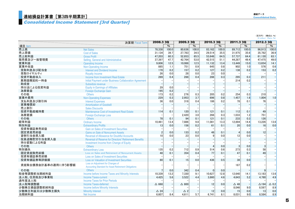## 連結損益計算書[第3四半期累計] Consolidated Data

## Consolidated Income Statement [3rd Quarter]

(百万円) (構成比:%) (\ million) (Ratio:%)

|                     | 決算期 Fiscal Term                                                                                  | 2008.3 3Q      |       | 2009.3 3Q       |       | 2010.3 3Q      |               | 2011.3 3Q   |               | 2012.3 3Q       |                                                                                                                                                                                                                                                                                                                                                                                                                                                                                    |
|---------------------|--------------------------------------------------------------------------------------------------|----------------|-------|-----------------|-------|----------------|---------------|-------------|---------------|-----------------|------------------------------------------------------------------------------------------------------------------------------------------------------------------------------------------------------------------------------------------------------------------------------------------------------------------------------------------------------------------------------------------------------------------------------------------------------------------------------------|
| 項目 Item             |                                                                                                  |                | $\%$  |                 | $\%$  |                | $\frac{0}{6}$ |             | $\frac{0}{0}$ |                 | $\%$                                                                                                                                                                                                                                                                                                                                                                                                                                                                               |
| 売上高                 | <b>Net Sales</b>                                                                                 | 78.338         | 100.0 | 80.636          | 100.0 | 83,162         | 100.0         | 89.712      | 100.0         | 96,913          | 100.0                                                                                                                                                                                                                                                                                                                                                                                                                                                                              |
| 売上原価                | <b>Cost of Sales</b>                                                                             | 31,134         | 39.7  | 27,783          | 34.5  | 29,514         | 35.5          | 31,975      | 35.6          | 35,782          | 36.9                                                                                                                                                                                                                                                                                                                                                                                                                                                                               |
| 売上総利益               | <b>Gross Profit</b>                                                                              | 47,203         | 60.3  | 52,853          | 65.5  | 53,648         | 64.5          | 57,737      | 64.4          | 61,130          | 63.1                                                                                                                                                                                                                                                                                                                                                                                                                                                                               |
| 販売費及び一般管理費          | Selling, General and Administrative                                                              | 37,397         | 47.7  | 42,764          | 53.0  | 42,515         | 51.1          | 44,287      | 49.4          | 47,475          | 49.0                                                                                                                                                                                                                                                                                                                                                                                                                                                                               |
| 営業利益                | Operating Income                                                                                 | 9.806          | 12.5  | 10.088          | 12.5  | 11,132         | 13.4          | 13,449      | 15.0          | 13.654          | 14.1                                                                                                                                                                                                                                                                                                                                                                                                                                                                               |
| 営業外収益               | Non-Operating Income                                                                             | 885            | 1.1   | 751             | 0.9   | 645            | 0.8           | 902         | 1.0           | 576             | 0.6                                                                                                                                                                                                                                                                                                                                                                                                                                                                                |
| 受取利息及び配当金           | <b>Interest and Dividend Income</b>                                                              | 170            | 0.2   | 157             | 0.2   | 127            | 0.2           | 138         | 0.2           | 153             | 0.2                                                                                                                                                                                                                                                                                                                                                                                                                                                                                |
| 受取ロイヤルティ            | <b>Royalty Income</b>                                                                            | 26             | 0.0   | 28              | 0.0   | 23             | 0.0           |             |               |                 |                                                                                                                                                                                                                                                                                                                                                                                                                                                                                    |
| 投資不動産収入             | Income from Investment Real Estate                                                               | 289            | 0.4   | 288             | 0.4   | 288            | 0.3           | 295         | 0.3           | 211             | $\frac{1}{1}$                                                                                                                                                                                                                                                                                                                                                                                                                                                                      |
| 業務提携契約一時金           | Initial Payment under Business Collaboration Agreement                                           |                |       |                 |       |                |               | 214         | 0.2           |                 |                                                                                                                                                                                                                                                                                                                                                                                                                                                                                    |
| 助成金                 | Subsidize revenue                                                                                |                |       |                 |       |                |               |             |               |                 |                                                                                                                                                                                                                                                                                                                                                                                                                                                                                    |
| 持分法による投資利益          | <b>Equity in Earnings of Affiliates</b>                                                          | 29             | 0.0   |                 |       |                |               |             |               |                 |                                                                                                                                                                                                                                                                                                                                                                                                                                                                                    |
| 為替差益                | Foreign Exchange Gain                                                                            | 195            | 0.2   |                 |       |                |               |             |               |                 |                                                                                                                                                                                                                                                                                                                                                                                                                                                                                    |
| その他                 | <b>Others</b>                                                                                    | 173            | 0.2   | 276             | 0.3   | 205            | 0.2           | 254         | 0.3           | 210             |                                                                                                                                                                                                                                                                                                                                                                                                                                                                                    |
| 営業外費用               | <b>Non-Operating Expenses</b>                                                                    | 229            | 0.3   | 2,953           | 3.7   | 696            | 0.8           | 1.457       | 1.6           | 1.004           | 1.0                                                                                                                                                                                                                                                                                                                                                                                                                                                                                |
| 支払利息及び割引料           | <b>Interest Expenses</b>                                                                         | 36             | 0.0   | 318             | 0.4   | 186            | 0.2           | 78          | 0.1           | 76              |                                                                                                                                                                                                                                                                                                                                                                                                                                                                                    |
| 営業権償却               | <b>Amortization of Goodwill</b>                                                                  |                |       |                 |       |                |               |             |               |                 | $\frac{1}{1}$                                                                                                                                                                                                                                                                                                                                                                                                                                                                      |
| 売上割引                | <b>Sales Discounts</b>                                                                           |                |       |                 |       |                |               |             |               |                 |                                                                                                                                                                                                                                                                                                                                                                                                                                                                                    |
| 投資不動産維持費            | Maintenance Cost of Investment Real Estate                                                       | 114            | 0.1   | 120             | 0.1   | 121            | 0.1           | 112         | 0.1           | 49              | $\begin{array}{c c} \hline \multicolumn{1}{c}{\textbf{1}} & \multicolumn{1}{c}{\textbf{1}} \\ \hline \multicolumn{1}{c}{\textbf{2}} & \multicolumn{1}{c}{\textbf{3}} \\ \hline \multicolumn{1}{c}{\textbf{4}} & \multicolumn{1}{c}{\textbf{5}} \\ \hline \multicolumn{1}{c}{\textbf{5}} & \multicolumn{1}{c}{\textbf{6}} \\ \hline \multicolumn{1}{c}{\textbf{6}} & \multicolumn{1}{c}{\textbf{7}} \\ \hline \multicolumn{1}{c}{\textbf{7}} & \multicolumn{1}{c}{\textbf{8}} \\ \$ |
| 為替差損                | <b>Foreign Exchange Loss</b>                                                                     |                |       | 2,420           | 3.0   | 266            | 0.3           | 1,033       | 1.2           | 751             |                                                                                                                                                                                                                                                                                                                                                                                                                                                                                    |
| その他                 | <b>Others</b>                                                                                    | 78             | 0.1   | 94              | 0.1   | 121            | 0.1           | 233         | 0.3           | 126             |                                                                                                                                                                                                                                                                                                                                                                                                                                                                                    |
| 経常利益                | <b>Ordinary Income</b>                                                                           | 10,461         | 13.4  | 7,886           | 9.8   | 11,081         | 13.3          | 12,894      | 14.4          | 13,226          | 13.6                                                                                                                                                                                                                                                                                                                                                                                                                                                                               |
| 特別利益                | <b>Extraordinary Profits</b>                                                                     | 13             | 0.0   | 156             | 0.2   | 61             | 0.1           | 20          | 0.0           | 16              | 0.0                                                                                                                                                                                                                                                                                                                                                                                                                                                                                |
| 投資有価証券売却益           | <b>Gain on Sales of Investment Securities</b>                                                    |                |       |                 |       |                |               |             |               |                 | $\Box$                                                                                                                                                                                                                                                                                                                                                                                                                                                                             |
| 固定資産売却益             | <b>Gains on Sale of Noncurrent Assets</b>                                                        | $\overline{2}$ | 0.0   | 133             | 0.2   | 48             | 0.1           |             | 0.0           | 12              |                                                                                                                                                                                                                                                                                                                                                                                                                                                                                    |
| 貸倒引当金戻入額            | <b>Reversal of Allowance for Doubtful Accounts</b>                                               | 10             | 0.0   | 23              | 0.0   |                | 0.0           | 12          | 0.0           |                 |                                                                                                                                                                                                                                                                                                                                                                                                                                                                                    |
| 役員退職慰労引当金戻入益        | <b>Reversal of Reserve for Directors' Retirement Benefits</b>                                    |                |       |                 |       |                |               |             |               |                 |                                                                                                                                                                                                                                                                                                                                                                                                                                                                                    |
| 持分変動による利益           | Investment Income from Change of Equity                                                          |                |       |                 |       |                |               |             |               |                 |                                                                                                                                                                                                                                                                                                                                                                                                                                                                                    |
| その他                 | <b>Others</b>                                                                                    |                |       |                 |       | $\overline{4}$ | 0.0           |             | 0.0           |                 |                                                                                                                                                                                                                                                                                                                                                                                                                                                                                    |
| 特別損失                | <b>Extraordinary Loss</b>                                                                        | 135            | 0.2   | 712             | 0.9   | 514            | 0.6           | 273         | 0.3           | 58              | $\begin{array}{c c} \hline \multicolumn{1}{c}{\textbf{1}} & \multicolumn{1}{c}{\textbf{1}} & \multicolumn{1}{c}{\textbf{1}} \\ \hline \multicolumn{1}{c}{\textbf{1}} & \multicolumn{1}{c}{\textbf{1}} & \multicolumn{1}{c}{\textbf{1}} & \multicolumn{1}{c}{\textbf{1}} \\ \hline \end{array}$                                                                                                                                                                                     |
| 固定資産除売却損            | Loss on Sales and Retirement of Noncurrent Assets                                                | 48             | 0.1   | 354             | 0.4   | 77             | 0.1           | 47          | 0.1           | 49              |                                                                                                                                                                                                                                                                                                                                                                                                                                                                                    |
| 投資有価証券売却損           | <b>Loss on Sales of Investment Securities</b>                                                    |                |       |                 |       |                |               |             |               |                 |                                                                                                                                                                                                                                                                                                                                                                                                                                                                                    |
| 投資有価証券等評価損          | <b>Loss on Valuation of Investment Securities</b>                                                | 80             | 0.1   | 15              | 0.0   | 436            | 0.5           | 38          | 0.0           |                 |                                                                                                                                                                                                                                                                                                                                                                                                                                                                                    |
| 資産除去債務会計基準の適用に伴う影響額 | Loss on Adjustment for Changes of<br><b>Accounting Standard for Asset Retirement Obligations</b> |                |       |                 |       |                |               | 187         | 0.2           |                 |                                                                                                                                                                                                                                                                                                                                                                                                                                                                                    |
| その他                 | <b>Others</b>                                                                                    | 7              | 0.0   | 342             | 0.4   | $\mathbf 0$    | 0.0           |             |               |                 |                                                                                                                                                                                                                                                                                                                                                                                                                                                                                    |
| 税金等調整前当期純利益         | Income before Income Taxes and Minority Interests                                                | 10.339         | 13.2  | 7.330           | 9.1   | 10.627         | 12.8          | 12.640      | 14.1          | 13.183          | 13.6                                                                                                                                                                                                                                                                                                                                                                                                                                                                               |
| 法人税、住民税及び事業税        | <b>Income Taxes-current</b>                                                                      | 4.425          | 5.6   | 3.522           | 4.4   | 3.860          | 4.6           | 4.643       | 5.2           | 4.780           | 4.9                                                                                                                                                                                                                                                                                                                                                                                                                                                                                |
| 過年度法人税              | <b>Income Taxes for Prior Periods</b>                                                            |                |       |                 |       |                |               |             |               |                 |                                                                                                                                                                                                                                                                                                                                                                                                                                                                                    |
| 法人税等調整額             | Income Taxes-deferred                                                                            | $\Delta$ 668   |       | $\triangle$ 800 |       | 12             | 0.0           | $\Delta$ 48 |               | $\triangle$ 194 | $\triangle$ 0.2                                                                                                                                                                                                                                                                                                                                                                                                                                                                    |
| 少数株主損益調整前純利益        | <b>Income before Minority Interests</b>                                                          |                |       |                 |       |                |               | 8,046       | 9.0           | 8,597           | 8.9                                                                                                                                                                                                                                                                                                                                                                                                                                                                                |
| 少数株主利益又は少数株主損失      | <b>Minority Interest</b>                                                                         | $\triangle$ 24 |       | $\triangle$ 2   |       | 12             | 0.0           | 15          | 0.0           | 13              | 0.0                                                                                                                                                                                                                                                                                                                                                                                                                                                                                |
| 当期純利益               | Net Income                                                                                       | 6.607          | 8.4   | 4.611           | 5.7   | 6.741          | 8.1           | 8,031       | 9.0           | 8,584           | 8.9                                                                                                                                                                                                                                                                                                                                                                                                                                                                                |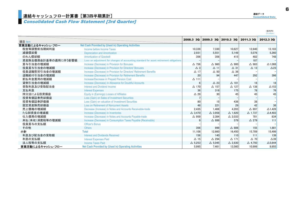## Consolidated Cash Flow Statement [3rd Quarter]

| 連結データ                    |
|--------------------------|
| <b>Consolidated Data</b> |

(百万円)<br>(¥ million)

| 項目 Item             |                                                                                        | 2008.3 3Q         |                   | 2009.3 3Q 2010.3 3Q | 2011.3 30         | 2012.3 3Q         |
|---------------------|----------------------------------------------------------------------------------------|-------------------|-------------------|---------------------|-------------------|-------------------|
| 営業活動によるキャッシュ・フロー    | <b>Net Cash Provided by (Used in) Operating Activities</b>                             |                   |                   |                     |                   |                   |
| 税金等調整前当期純利益         | Income before Income Taxes                                                             | 10.339            | 7.330             | 10.627              | 12,640            | 13.183            |
| 減価償却費               | <b>Depreciation and Amortization</b>                                                   | 2,931             | 5,551             | 5,149               | 5,076             | 5,260             |
| のれん償却額              | <b>Amortization of Goodwill</b>                                                        | 356               | 356               | 415                 | 482               | 748               |
| 資産除去債務会計基準の適用に伴う影響額 | Loss on adjustment for changes of accounting standard for asset retirement obligations |                   |                   |                     | 187               |                   |
| 賞与引当金の増減額           | Increase (Decrease) in Provision for Bonuses                                           | $\triangle$ 756   | $\triangle$ 960   | $\triangle$ 900     | $\triangle$ 983   | $\triangle$ 1.088 |
| 役員賞与引当金の増減額         | Increase (Decrease) in Provision for Directors' Bonuses                                | $\triangle$ 3     | $\Delta$ 11       | $\Delta$ 31         | $\Delta$ 13       | $\triangle$ 23    |
| 役員退職慰労引当金の増減額       | Increase (Decrease) in Provision for Directors' Retirement Benefits                    | $\Delta$ 17       | $\Delta$ 50       | $\Delta$ 36         |                   |                   |
| 退職給付引当金の増減額         | Increase (Decrease) in Provision for Retirement Benefits                               | 20                | 94                | 447                 | 292               | 396               |
| 前払年金費用の増減額          | Increase/Decrease in Prepaid Pension Cost                                              | $\Delta$ 111      |                   |                     |                   |                   |
| 貸倒引当金の増減額           | Increase (Decrease) in Allowance for Doubtful Accounts                                 | 6                 | $\triangle$ 23    | $\Delta$ 101        | 18                | 18                |
| 受取利息及び受取配当金         | Interest and Dividend Income                                                           | $\Delta$ 170      | $\Delta$ 157      | $\triangle$ 127     | $\triangle$ 138   | $\Delta$ 153      |
| 支払利息                | <b>Interest Expenses</b>                                                               | 36                | 318               | 175                 | 78                | 76                |
| 持分法による投資損益          | Equity in (Earnings) Losses of Affiliates                                              | $\triangle$ 29    | 30                | 45                  | 45                | 45                |
| 投資有価証券売却損益          | Loss (Gain) on Sales of Investment Securities                                          |                   |                   |                     |                   | $\qquad \qquad -$ |
| 投資有価証券評価損           | Loss (Gain) on valuation of Investment Securities                                      | 80                | 15                | 436                 | 38                |                   |
| 固定資産除売却損益           | <b>Loss on Retirement of Noncurrent Assets</b>                                         | 48                | 221               | 29                  | 42                | 36                |
| 売上債権の増減額            | Decrease (Increase) in Notes and Accounts Receivable-trade                             | 2,435             | 1,406             | 4,203               | △ 897             | $\triangle$ 1.426 |
| たな卸資産の増減額           | Increase (Decrease) in Inventories                                                     | $\triangle$ 3.470 | $\triangle$ 3,958 | $\triangle$ 1.620   | $\triangle$ 1.737 | $\triangle$ 4,403 |
| 仕入債務の増減額            | Increase (Decrease) in Notes and Accounts Payable-trade                                | $\triangle$ 959   | 2.384             | $\triangle$ 2,033   | 701               | 834               |
| 未払(未収)消費税等の増減額      | Increase (Decrease) in Consumption Taxes Payable (Receivable)                          | 9                 | $\triangle$ 886   | 579                 | $\triangle$ 279   | 111               |
| 役員賞与の支払額            | <b>Officer's Bonus</b>                                                                 |                   |                   |                     |                   |                   |
| その他                 | <b>Others</b>                                                                          | 356               | 999               | $\triangle$ 806     | 155               | 1.881             |
| 小計                  | <b>Total</b>                                                                           | 11.108            | 12.660            | 16.450              | 15.709            | 15.499            |
| 利息及び配当金の受取額         | <b>Interest and Dividends Received</b>                                                 | 156               | 140               | 110                 | 111               | 139               |
| 利息の支払額              | <b>Interest Expenses Paid</b>                                                          | $\Delta$ 15       | $\triangle$ 294   | $\Delta$ 171        | $\triangle$ 70    | $\triangle 39$    |
| 法人税等の支払額            | <b>Income Taxes Paid</b>                                                               | $\triangle$ 5.253 | $\triangle$ 5.045 | $\triangle$ 2.830   | $\triangle$ 4.750 | $\Delta$ 5.644    |
| 営業活動によるキャッシュ・フロー    | <b>Net Cash Provided by (Used in) Operating Activities</b>                             | 5.995             | 7.461             | 13.560              | 10.999            | 9.955             |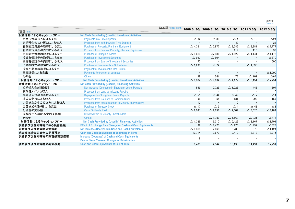(百万円)<br>(¥ million)

|                   |                                                                    | 決算期 Fiscal Term | 2008.3 3Q         | 2009.3 30         | 2010.3 30         | 2011.3 30         | 2012.3 30         |
|-------------------|--------------------------------------------------------------------|-----------------|-------------------|-------------------|-------------------|-------------------|-------------------|
| 項目 Item           |                                                                    |                 |                   |                   |                   |                   |                   |
| 投資活動によるキャッシュ・フロー  | Net Cash Provided by (Used in) Investment Activities               |                 |                   |                   |                   |                   |                   |
| 定期預金の預入による支出      | <b>Payments into Time Deposits</b>                                 |                 | $\triangle$ 32    | $\Delta$ 36       | $\triangle$ 4     | $\Delta$ 13       | $\triangle$ 24    |
| 定期預金の払い戻しによる収入    | Proceeds from Withdrawal of Time Deposits                          |                 |                   |                   | 42                |                   | 23                |
| 有形固定資産の取得による支出    | Purchase of Property, Plant and Equipment                          |                 | $\triangle$ 4.321 | $\triangle$ 7.977 | $\triangle$ 2.786 | $\triangle$ 3.981 | $\triangle$ 4,777 |
| 有形固定資産の売却による収入    | Proceeds from Sales of Property, Plan and Equipment                |                 |                   |                   | 119               | 116               | 33                |
| 無形固定資産の取得による支出    | <b>Purchase of Intangible Assets</b>                               |                 | $\Delta$ 1,613    | $\triangle$ 986   | $\triangle$ 1.622 | $\Delta$ 1,141    | $\Delta$ 1,172    |
| 投資有価証券の取得による支出    | <b>Purchase of Investment Securities</b>                           |                 | △ 993             | $\triangle$ 804   |                   |                   | $\Delta$ 370      |
| 投資有価証券の売却による収入    | <b>Proceeds from Sales of Investment Securities</b>                |                 | 77                |                   |                   |                   | 500               |
| 子会社株式の取得による収支     | Purchase of Investments in Subsidiaries                            |                 | $\triangle$ 1.290 | $\triangle$ 72    |                   | $\triangle$ 1.033 |                   |
| 投資不動産の取得による支出     | <b>Payment for Investment in Real Estate</b>                       |                 |                   |                   |                   |                   |                   |
| 事業譲受による支出         | Payments for transfer of business                                  |                 |                   |                   |                   |                   | $\Delta$ 1,900    |
| その他               | <b>Others</b>                                                      |                 | 98                | 241               | 73                | $\Delta$ 101      | $\triangle$ 64    |
| 投資活動によるキャッシュ・フロー  | Net Cash Provided by (Used in) Investment Activities               |                 | $\triangle$ 8.074 | $\triangle$ 9.634 | $\triangle$ 4.177 | $\Delta$ 6.154    | $\Delta$ 7.754    |
| 財務活動によるキャッシュ・フロー  | <b>Net Cash Provided by (Used in) Financing Activities</b>         |                 |                   |                   |                   |                   |                   |
| 短期借入金純増減額         | Net Increase (Decrease) in Short-term Loans Payable                |                 | 559               | 10.725            | $\Delta$ 1.726    | 443               | 807               |
| 長期借入による収入         | Proceeds from Long-term Loans Payable                              |                 |                   |                   |                   |                   | $\Omega$          |
| 長期借入金の返済による支出     | Repayments of Long-term Loans Payable                              |                 | $\Delta$ 51       | $\triangle$ 44    | $\triangle$ 49    | $\triangle$ 7     | $\triangle 4$     |
| 株式の発行による収入        | Proceeds from Issuance of Common Stock                             |                 | 198               | 55                | 131               | 298               | 157               |
| 少数株主からの払込みによる収入   | Proceeds from Stock Issuance to Minority Shareholders              |                 | 12                |                   | $\Omega$          |                   |                   |
| 自己株式の取得による支出      | <b>Purchase of Treasury Stock</b>                                  |                 | $\Delta$ 17       | $\triangle$ 9     | $\triangle$ 4     | $\triangle$ 43    | $\triangle 3$     |
| 配当金の支払額           | <b>Cash Dividends Paid</b>                                         |                 | $\triangle$ 2.031 | $\triangle$ 2.658 | $\triangle$ 2.609 | $\triangle$ 3.026 | $\Delta$ 3,184    |
| 少数株主への配当金の支払額     | <b>Dividend Paid to Minority Shareholders</b>                      |                 |                   |                   |                   |                   |                   |
| その他               | <b>Others</b>                                                      |                 |                   | $\Delta$ 1.759    | $\Delta$ 1.168    | $\Delta$ 831      | $\triangle$ 474   |
| 財務活動によるキャッシュ・フロー  | <b>Net Cash Provided by (Used in) Financing Activities</b>         |                 | $\Delta$ 1.329    | 6.310             | $\triangle$ 5.422 | $\Delta$ 3,167    | $\Delta$ 2,701    |
| 現金及び現金同等物に係る換算差額  | <b>Effect of Exchange Rate Change on Cash and Cash Equivalents</b> |                 | 89                | $\triangle$ 1.473 | $\Delta$ 175      | $\triangle$ 997   | $\triangle 623$   |
| 現金及び現金同等物の増減額     | Net Increase (Decrease) in Cash and Cash Equivalents               |                 | $\triangle$ 3.318 | 2.663             | 3,785             | 679               | $\Delta$ 1,124    |
| 現金及び現金同等物の期首残高    | <b>Cash and Cash Equivalents at Beginning of Term</b>              |                 | 12,714            | 9.679             | 9.410             | 13.812            | 18,915            |
| 現金及び現金同等物の期首残高調整額 | <b>Increase (Decrease) of Cash and Cash Equivalents</b>            |                 |                   |                   |                   |                   |                   |
|                   | Due to Fiscal Year-end Change for Subsidiaries                     |                 |                   |                   |                   |                   |                   |
| 現金及び現金同等物の期末残高    | <b>Cash and Cash Equivalents at End of Term</b>                    |                 | 9.405             | 12.342            | 13.195            | 14.491            | 17,791            |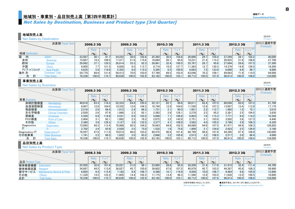## 地域別・事業別・品目別売上高[第3四半期累計] Consolidated Data

## Net Sales by Destination, Business and Product type [3rd Quarter]

#### 地域別売上高

Net Sales by Destination

|      |                | 決算期 Fiscal Term    |        | 2008.3 3Q        |           |        | 2009.3 3Q         |        |        | 2010.3 3Q |                            |        | 2011.3 3Q |                    |        | 2012.3 3Q         |           | 2012.3 通期予想<br>(Forecast) |
|------|----------------|--------------------|--------|------------------|-----------|--------|-------------------|--------|--------|-----------|----------------------------|--------|-----------|--------------------|--------|-------------------|-----------|---------------------------|
|      |                |                    |        | Ratio            | YoY       |        | Ratio             | YoY    |        | Ratio     | YoY                        |        |           | YoY                |        | Ratio             | $Y o Y^*$ |                           |
|      | 地域 Destination |                    |        | (9/6)            | $($ % $)$ |        | $\mathcal{O}_0$   | $($ %) |        | $(9)_{0}$ | $\mathcal{O}_{\mathbf{0}}$ |        | $($ % $)$ | $($ % $)$          |        | $\frac{9}{6}$     | (9/6)     |                           |
| 国    | 内              | Japan              | 23,567 | 30.1             | 91.7      | 24.222 | 30.0              | 102.8  | 25,392 | 30.5      | 104.8                      | 26.666 | 29.7      | 105.0              | 27.249 | 28.1              | 102.2     | 40.000                    |
| 米州   |                | Americas           | 15,067 | 19.2             | 109.5     | 7,417  | 21.6              | 15.6   | 16.694 | 20.1      | 95.8                       | 19.231 | 21.4      | 115.2              | 20.925 | 21.6              | 108.8     | 27.700                    |
| 欧州   |                | Europe             | 29,062 | 37.1             | 129.3     | 26.814 | 33.3              | 92.3   | 26.961 | 32.4      | 100.5                      | 25.767 | 28.7      | 95.6               | 27.694 | 28.6              | 107.5     | 37,300                    |
| 中国   |                | China              | 6,005  | 7.7 <sub>1</sub> | 121.5     | 6,828  | 8.5               | 113.7  | 8.719  | 10.5      | 127.7                      | 1.363  | 12.7      | 130.3 <sub>1</sub> | 14.376 | 14.8              | 126.5     | 19,200                    |
|      | アジア・パシフィック     | Asia-Pacific       | 4,635  | 5.9              | 119.6     | 5,352  | 6.6               | 115.5  | 5.395  | 6.5       | 100.8                      | 6,683  | 7.5       | 123.9              | 6.666  | 6.9               | 99.7      | 9.800                     |
| 海外 計 |                | Overseas Total     | 54.770 | 69.9             | 121.6     | 56.413 | 70.0 <sub>1</sub> | 103.0  | 57.769 | 69.5      | 102.4                      | 63.046 | 70.3      | 109.1              | 69.663 | 71.9 <sub>1</sub> | 110.5     | 94,000                    |
|      | 合              | <b>Total Sales</b> | 78,338 | 100.0            | 110.7     | 80.636 | 100.0             | 102.9  | 83,162 | 100.0     | 103.1                      | 89.712 | 100.0     | 107.9              | 96.913 | 100.0             | 108.0     | 134,000                   |

#### 事業別売上高

**Net Sales by Business** 

|                | 決算期 Fiscal Term           |        | 2008.3 3Q        |           |        | 2009.3 3Q |               |        | 2010.3 3Q |       |        | 2011.3 3Q |       |        | 2012.3 3Q         |                  | 2012.3 通期予想<br>(Forecast) |
|----------------|---------------------------|--------|------------------|-----------|--------|-----------|---------------|--------|-----------|-------|--------|-----------|-------|--------|-------------------|------------------|---------------------------|
|                |                           |        | Ratio            | YoY       |        | Ratio     | YoY           |        | Ratio     | YoY   |        | Ratio     | YoY   |        | Ratio             | YoY <sup>*</sup> |                           |
| 事業 Business    |                           |        | (9/6)            | $($ % $)$ |        | (9/6)     | $\frac{9}{6}$ |        | $($ % $)$ | (9)   |        | (9/6)     | (9/6) |        | $(9)_{0}$         | (9/6)            |                           |
| 血球計数検査         | Hematology                | 49.618 | 63.3             | 116.3     | 52,333 | 64.9      | 105.5         | 52.121 | 62.7      | 99.6  | 56.011 | 62.4      | 107.5 | 60.056 | 62.0              | 107.2            | 81,700                    |
| 血液凝固検査         | <b>Hemostasis</b>         | 9,907  | 12.6             | 104.0     | 10,332 | 12.8      | 104.3         | 10.749 | 12.9      | 104.0 | 11.530 | 12.9      | 107.3 | 13.007 | 13.4 <sub>1</sub> | 112.8            | 17,170                    |
| 免疫検査           | Immunochemistry           | 2.216  | 2.8              | 86.4      | 1.912  | 2.4       | 86.3          | 1,731  | 2.1       | 90.5  | 1,951  | 2.2       | 112.7 | 1.465  | 1.5               | 75.1             | 3.010                     |
| 生化学検査          | <b>Clinical Chemistry</b> | 2,029  | 2.6              | 97.9      | 868.1  | 2.31      | 92.1          | 2.392  | 2.9       | 128.1 | 2,278  | 2.5       | 95.2  | 2.381  | 2.5               | 104.5            | 3.830                     |
| 尿検査            | <b>Urinalysis</b>         | 5,358  | 6.8              | 119.6     | 5,531  | 6.9       | 103.2         | 5,898  | 7.1       | 106.6 | 6,803  | 7.6       | 115.3 | 7.7711 | 8.0               | 114.2            | 10,350                    |
| POC検査          | <b>Point of Care</b>      | 2,404  | 3.1              | 92.1      | .882   | 2.3       | 78.3          | 2,672  | 3.2       | 142.0 | 2,751  | 3.1       | 103.0 | 3.502  | 3.6               | 127.3            | 4,440                     |
| その他            | Others                    | 2.360  | 3.0 <sub>1</sub> | 128.3     | 3.127  | 3.9       | 132.5         | 3,377  | 4.1       | 108.0 | 3.562  | 4.0       | 105.5 | 3.786  | 3.9               | 106.3            | 6.320                     |
| Diagnostics    | <b>Diagnostics</b>        | 73,895 | 94.3             | 112.4     | 76.988 | 95.5      | 104.2         | 78.943 | 94.9      | 102.5 | 84.889 | 94.6      | 107.5 | 91.971 | 94.9              | 108.3            | 126,820                   |
|                |                           | 2.702  | 3.4              | 83.9      | 2,026  | 2.5       | 75.0          | 1.532  | 1.8       | 75.6  | 1,909  | 2.1       | 124.6 | 2.423  | 2.5               | 126.9            | 3.180                     |
| Diagnostics/IT | Diagnostics/IT            | 76.597 | 97.8             | 111.0     | 79.014 | 98.0      | 103.2         | 80.475 | 96.8      | 101.8 | 86.799 | 96.8      | 107.9 | 94.395 | 97.4              | 108.8            | 130,000                   |
| その他事業          | <b>Other Business</b>     | 1.741  | 2.2              | 98.5      | 1.622  | 2.0       | 93.2          | 2.686  | 3.2       | 165.6 | 2,913  | 3.2       | 108.5 | 2.517  | 2.6               | 86.4             | 4,000                     |
| 合              | <b>Total Sales</b>        | 78.338 | 100.0            | 10.7      | 80.636 | 100.0     | 02.9          | 83.162 | 100.0     | 103.1 | 89.712 | 100.0     | 107.9 | 96.913 | 100.0             | 108.0l           | 134.000                   |

#### 品目別売上高

Net Sales by Product Type

|                 | 決算期 Fiscal Term             |        | 2008.3 3Q |       |        | 2009.3 3Q |           |        | 2010.3 3Q |           |        | 2011.3 3Q |           |        | 2012.3 3Q         |         | 2012.3 通期予想<br>(Forecast) |
|-----------------|-----------------------------|--------|-----------|-------|--------|-----------|-----------|--------|-----------|-----------|--------|-----------|-----------|--------|-------------------|---------|---------------------------|
|                 |                             |        | Ratio     | YoY   |        | Ratio     | YoY       |        | Ratiu     | YoY       |        | Ratio     | YoY       |        | Ratio             | Y o Y * |                           |
| 品目 Product Type |                             |        | $(9)_{0}$ | (9)   |        | (9)       | $(9)_{0}$ |        | $(9)_{0}$ | $($ % $)$ |        | (9/6)     | $(9)_{0}$ |        | (9/6)             | (9/6)   |                           |
| 検体検査機器          | Instrument                  | 25,505 | 32.6      | 101.9 | 25.021 | 31.0      | 98.1      | 23.985 | 28.8      | 95.9      | 28.209 | 31.4      | 17.6      | 31.415 | 32.4 <sub>1</sub> | 111.4   | 44.700                    |
| 検体検査試薬          | Reagent                     | 34.887 | 44.5      | 113.6 | 36,827 | 45.7      | 105.6     | 39.602 | 47.6      | 107.5     | 40,979 | 45.7      | 103.5     | 44.387 | 45.8              | 108.3   | 59,900                    |
| 保守サービス          | Maintenance Service & Parts | 6,605  | 8.4       | 115.4 | 7.182  | 8.9       | 108.7     | 8,398  | 10.1      | 116.9     | 8.958  | 10.0      | 106.7     | 9.484  | 9.8               | 105.9   | 12.800                    |
| その他             | Others                      | 11,339 | 14.5      | 122.2 | 1.605  | 14.4      | 102.3     | 1.175  | 13.4      | 96.3      | 1,566  | 12.9      | 103.5     | 1.626  | 12.0              | 100.5   | 16.600                    |
| 合計              | <b>Total Sales</b>          | 78,338 | 100.0     | 110.7 | 80.636 | 100.0     | 102.9     | 83.162 | 100.0     | 103.1     | 89.712 | 100.0     | 107.9     | 96.913 | 100.0             | 108.0   | 134,000                   |

※前年同期を100%としています。 ●通期予想は、2011年11月に修正したものです。 ※Previous period = 100% ●Business forecast was revised on November 2011. 8

(百万円) (\ million)

(百万円) (\ million)

(百万円) (\ million)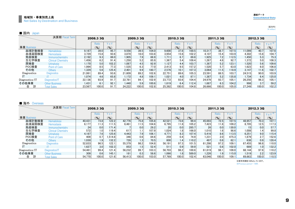#### 地域別・事業別売上高 Consolidated DataNet Sales by Destination and Business

(百万円)(\ million)

| 国内 | Japan |
|----|-------|
|----|-------|

|                | 決算期 Fiscal Term           |        | 2008.3 3Q |           |        | 2009.3 3Q |                    |        | 2010.3 3Q |       |        | 2011.3 3Q |           |        | 2012.3 3Q |                  |
|----------------|---------------------------|--------|-----------|-----------|--------|-----------|--------------------|--------|-----------|-------|--------|-----------|-----------|--------|-----------|------------------|
|                |                           |        | Ratio     | YoY       |        | Ratio     | YoY                |        | Ratio     | YoY   |        | Ratio     | YoY       |        | Ratio     | YoY <sup>*</sup> |
| 事業 Business    |                           |        | $(9)_{0}$ | $($ % $)$ |        | $(9)_{0}$ | $($ % $)$          |        | $(9)_{0}$ | (9/6) |        | $(9)_{0}$ | $($ % $)$ |        | $(9)_{0}$ | (9)              |
| 血球計数検査         | Hematology                | 9.187  | 39.0      | 95.7      | 9.556  | 39.5      | 104.0              | 9.600  | 37.8      | 100.5 | 10.317 | 38.7      | 107.5     | 11.099 | 40.7      | 107.6            |
| 血液凝固検査         | <b>Hemostasis</b>         | 3.729  | 15.8      | 93.6      | 3.870  | 16.0      | 103.8              | 3,954  | 15.6      | 102.2 | 4.107  | 15.4      | 103.9     | 4,302  | 15.8      | 104.7            |
| 免疫検査           | Immunochemistry           | 2,192  | 9.3       | 86.0      | 1.905  | 7.9       | 86.9               | 1.711  | 6.7       | 89.8  | 1.925  | 7.2       | 112.5     | 1,450  | 5.3       | 75.3             |
| 生化学検査          | <b>Clinical Chemistry</b> | 1.456  | 6.2       | 91.4      | 1.250  | 5.2       | 85.9               | 367,   | 5.4       | 109.4 | 1.267  | 4.8       | 92.7      | 1,372  | 5.0       | 108.3            |
| 尿検査            | <b>Urinalysis</b>         | 1.170  | 5.0       | 102.2     | 1.087  | 4.5       | 92.9               | 1.127  | 4.4       | 103.7 | 1.387  | 5.2       | 123.1     | 1.520  | 5.6       | 109.6            |
| POC検査          | <b>Point of Care</b>      | 1.994  | 8.5       | 77.3      | 1.535  | 6.3       | 77.0               | 2.413  | 9.5       | 157.2 | 1.520  | 5.7       | 63.0      | 1,623  | 6.0       | 106.8            |
| その他            | <b>Others</b>             | 1.329  | 5.6       | 125.4     | 2.401  | 9.9       | 180.7              | 2.576  | 10.1      | 107.3 | 3.064  | 11.5      | 118.9     | 3,147  | 11.6      | 102.7            |
| Diagnostics    | <b>Diagnostics</b>        | 21,061 | 89.4      | 93.6      | 21,609 | 89.2      | 102.6              | 22,751 | 89.6      | 105.3 | 23,591 | 88.5      | 103.7     | 24,515 | 90.0      | 103.9            |
| IT             |                           | 1.074  | 4.6       | 65.8      | 1.172  | 4.8       | 109.1              | 1.021  | 4.0       | 87.1  | 1.387  | 5.2       | 135.8     | 1.734  | 6.4       | 125.0            |
| Diagnostics/IT | Diagnostics/IT            | 22.136 | 93.9      | 91.7      | 22.781 | 94.1      | 102.9              | 23.772 | 93.6      | 104.4 | 24.979 | 93.7      | 105.1     | 26,250 | 96.3      | 105.1            |
| その他事業          | <b>Other Business</b>     | 1.431  | 6.1       | 92.1      | 1.440  | 5.9       | 100.6              | 1.619  | 6.4       | 112.4 | 1.687  | 6.3       | 104.2     | 998    | 3.7       | 59.2             |
| 計<br>合         | <b>Total Sales</b>        | 23.567 | 100.0     | 91.7      | 24.222 | 100.0     | 102.8 <sub>1</sub> | 25.392 | 100.0     | 104.8 | 26.666 | 100.0     | 105.0     | 27.249 | 100.0     | 102.2            |

#### ■ 海外 Overseas

|                | 決算期 Fiscal Term           |        | 2008.3 3Q        |           |        | 2009.3 3Q |                            |        | 2010.3 3Q |           |        | 2011.3 3Q |       |        | 2012.3 3Q                  |           |
|----------------|---------------------------|--------|------------------|-----------|--------|-----------|----------------------------|--------|-----------|-----------|--------|-----------|-------|--------|----------------------------|-----------|
|                |                           |        | Ratio            | YoY       |        | Ratio     | YoY                        |        | Ratio     | YoY       |        | Ratio     | YoY   |        | Ratio                      | $Y_0Y^*$  |
| 事業 Business    |                           |        | (9/6)            | $(9)_{0}$ |        | $(9)_{0}$ | $\mathcal{O}_{\mathbf{O}}$ |        | (9/6)     | $(9)_{0}$ |        | $($ % $)$ | (9/6) |        | $\left(\frac{9}{6}\right)$ | $(9)_{0}$ |
| 血球計数検査         | Hematology                | 40.431 | 73.8             | 122.2     | 42.776 | 75.8      | 105.8                      | 42.521 | 73.6      | 99.4      | 45.693 | 72.5      | 107.5 | 48.957 | 70.3                       | 107.1     |
| 血液凝固検査         | Hemostasis                | 6.177  | 11.3             | 111.5     | 6.461  | 11.5      | 104.6                      | 6.795  | 11.8      | 105.2     | 7.423  | 11.8      | 109.2 | 8,705  | 12.5                       | 117.3     |
| 免疫検査           | Immunochemistry           | 24     | 0.0 <sub>1</sub> | 171.4     |        | 0.0       | 29.2                       | 20     | 0.0       | 285.7     | 26     | 0.0       | 130.0 | 15     | 0.0                        | 57.7      |
| 生化学検査          | <b>Clinical Chemistry</b> | 572    | 1.0              | 119.4     | 617    | 1.1       | 107.9                      | 1.024  | 1.8       | 166.0     | 1,010  | 1.6       | 98.6  | 1,008  | 1.4                        | 99.8      |
| 尿検査            | <b>Urinalysis</b>         | 4.187  | 7.6              | 125.6     | 4.443  | 7.9       | 106.1                      | 4.771  | 8.3       | 107.4     | 5.416  | 8.6       | 113.5 | 6.251  | 9.0                        | 115.4     |
| POC検査          | <b>Point of Care</b>      | 409    | 0.7              | .514.8    | 346    | 0.6       | 84.6                       | 259    | 0.4       | 74.9      | 1,231  | 2.0       | 475.3 | 1,879  | 2.7                        | 152.6     |
| その他            | Others                    | 1.0301 | 1.9 <sup>1</sup> | 132.2     | 726    | 1.31      | 70.5                       | 800    | 1.4       | 110.2     | 497    | 0.8       | 62.1  | 638    | 0.9                        | 128.4     |
| Diagnostics    | <b>Diagnostics</b>        | 52.833 | 96.5             | 122.1     | 55,379 | 98.2      | 104.8                      | 56.191 | 97.3      | 101.5     | 61.298 | 97.2      | 109.1 | 67.455 | 96.8                       | 110.0     |
|                |                           | 1.627  | 3.0              | 102.3     | 853    | 1.5       | 52.4                       | 511    | 0.9       | 59.9      | 521    | 0.8       | 102.0 | 689    | 1.0                        | 132.2     |
| Diagnostics/IT | Diagnostics/IT            | 54.461 | 99.4             | 121.4     | 56.232 | 99.7      | 103.3                      | 56.703 | 98.2      | 100.8     | 61.819 | 98.1      | 109.0 | 68.144 | 97.8                       | 110.2     |
| その他事業          | <b>Other Business</b>     | 309    | 0.6              | 145.1     | 181    | 0.3       | 58.6                       | 1.066  | 1.8       | 589.0     | 1.226  | 1.9       | 115.0 | 1.519  | 2.2                        | 123.9     |
| 合              | <b>Total Sales</b>        | 54.770 | 100.0            | 121.6     | 56.413 | 100.0     | 103.0                      | 57.769 | 100.0     | 102.4     | 63.046 | 100.0     | 109.1 | 69.663 | 100.0                      | 110.5     |

※Previous period = 100% ※前年同期を100%としています。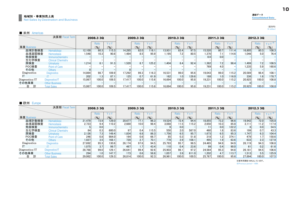#### ■ 米州 Americas

| $\blacksquare$ $\blacksquare$ $\blacksquare$ $\blacksquare$ $\blacksquare$ $\blacksquare$ |                           |        |           |                 |        |           |           |        |           |           |        |                  |                 |        |           |                            |
|-------------------------------------------------------------------------------------------|---------------------------|--------|-----------|-----------------|--------|-----------|-----------|--------|-----------|-----------|--------|------------------|-----------------|--------|-----------|----------------------------|
|                                                                                           | 決算期 Fiscal Term           |        | 2008.3 3Q |                 |        | 2009.3 3Q |           |        | 2010.3 3Q |           |        | 2011.3 3Q        |                 |        | 2012.3 3Q |                            |
|                                                                                           |                           |        | Ratio     | YoY             |        | Ratio     | YoY       |        | Ratio     | YoY       |        | Ratio            | YoY             |        | Ratio     | YoY <sup>*</sup>           |
| 事業 Business                                                                               |                           |        | (9/6)     | $\mathcal{O}_0$ |        | (9/6)     | $($ % $)$ |        | (9)       | $($ % $)$ |        | (9)              | $\mathcal{O}_0$ |        | (9/6)     | $\mathcal{O}_{\mathbf{O}}$ |
| 血球計数検査                                                                                    | Hematology                | 12.100 | 80.3      | 115.3           | 14,285 | 82.0      | 118.1     | 13.931 | 83.4      | 97.5      | 15.520 | 80.7             | 111.4           | 16,805 | 80.3      | 108.3                      |
| 血液凝固検査                                                                                    | <b>Hemostasis</b>         | .548   | 10.3      | 90.8            | 1.484  | 8.5       | 95.9      | 1.195  | 7.21      | 80.5      | 1,370  | 7.1              | 114.6           | 1.046  | 5.0       | 76.4                       |
| 免疫検査                                                                                      | Immunochemistry           |        |           |                 |        |           |           |        |           |           | 0.0    | 0.0 <sub>1</sub> |                 |        |           |                            |
| 生化学検査                                                                                     | <b>Clinical Chemistry</b> |        |           |                 |        |           |           |        |           |           |        |                  |                 |        |           |                            |
| 尿検査                                                                                       | <b>Urinalysis</b>         | 1.214  | 8.1       | 91.3            | .520   | 8.7       | 125.2     | 1.404  | 8.4       | 92.4      | 1.382  | 7.2              | 98.4            | 1,499  | 7.2       | 108.5                      |
| POC検査                                                                                     | Point of Care             |        |           |                 |        |           |           |        |           |           | 769    | 4.0              |                 | 1.235  | 5.9       | 160.6                      |
| その他                                                                                       | <b>Others</b>             |        |           |                 |        |           |           |        |           |           |        |                  |                 |        |           |                            |
| Diagnostics                                                                               | <b>Diagnostics</b>        | 14.864 | 98.7      | 109.9           | 17.292 | 99.3      | 116.3     | 16.531 | 99.0      | 95.6      | 19.043 | 99.0             | 115.2           | 20.589 | 98.4      | 108.1                      |
|                                                                                           |                           | 202    | 1.31      | 87.1            | 125    | 0.7       | 61.9      | 162    | 1.0       | 129.6     | 188    | 1.0 <sub>l</sub> | 116.0           | 336    | 1.6       | 178.7                      |
| Diagnostics/IT                                                                            | Diagnostics/IT            | 15.067 | 100.0     | 109.5           | 17.417 | 100.0     | 115.6     | 16.694 | 100.0     | 95.8      | 19.231 | 100.0            | 115.2           | 20.925 | 100.0     | 108.8                      |
| その他事業                                                                                     | <b>Other Business</b>     |        |           |                 |        |           |           |        |           |           |        |                  |                 |        |           |                            |
| 計<br>合                                                                                    | <b>Total Sales</b>        | 15.067 | 100.0     | 109.5           | 17.417 | 100.0     | 115.6     | 16.694 | 100.0     | 95.8      | 19,231 | 100.0            | 115.21          | 20,925 | 100.0     | 108.8                      |

#### ■ 欧州 Europe

| ■ 欧州<br>Europe |                           |        |           |       |        |                  |       |        |           |           |        |           |       |        |                  |                  |
|----------------|---------------------------|--------|-----------|-------|--------|------------------|-------|--------|-----------|-----------|--------|-----------|-------|--------|------------------|------------------|
|                | 決算期 Fiscal Term           |        | 2008.3 3Q |       |        | 2009.3 3Q        |       |        | 2010.3 3Q |           |        | 2011.3 3Q |       |        | 2012.3 3Q        |                  |
|                |                           |        | Ratio     | YoY   |        | Ratio            | YoY   |        | Ratio     | YoY       |        | Ratio     | YoY   |        | Ratio            | YoY <sup>*</sup> |
| 事業 Business    |                           |        | $(9)_{0}$ | (9)   |        | $($ % $)$        | (9)   |        | (9/6)     | $($ % $)$ |        | $($ % $)$ | (9)   |        | (9/6)            | (9)              |
| 血球計数検査         | Hematology                | 21.479 | 73.9      | 129.0 | 20,677 | 77.1             | 96.3  | 19.524 | 72.4      | 94.4      | 18.855 | 73.2      | 96.6  | 19.942 | 72.0             | 105.8            |
| 血液凝固検査         | <b>Hemostasis</b>         | 2,723  | 9.4       | 110.2 | 2,680  | 10.0             | 98.4  | 3,088  | 11.5      | 115.2     | 2,650  | 10.3      | 85.8  | 3.111  | 11.2             | 117.4            |
| 免疫検査           | Immunochemistry           |        | 0.0       |       |        |                  |       |        | 0.0       |           |        | 0.0       | 122.2 | 6      | 0.0              | 54.5             |
| 生化学検査          | <b>Clinical Chemistry</b> | 84     | 0.3       | 600.0 | 97     | 0.4              | 115.5 | 550    | 2.0       | 567.0     | 460    | 1.8       | 83.6  | 199    | 0.7 <sub>1</sub> | 43.3             |
| 尿検査            | <b>Urinalysis</b>         | 2.126  | 7.3       | 149.4 | 1,834  | 6.8              | 86.3  | 1.756  | 6.5       | 95.7      | 1,673  | 6.5       | 95.3  | 1.747  | 6.3              | 104.4            |
| POC検査          | <b>Point of Care</b>      | 246    | 0.8       | 984.0 | 164    | 0.6              | 66.7  | 85     | 0.3       | 51.8      | 318    | 1.2       | 374.1 | 479    | 1.7              | 150.6            |
| その他            | <b>Others</b>             | 1,027  | 3.5       | 168.1 | 720    | 2.7 <sub>1</sub> | 70.1  | 778    | 2.9       | 108.1     | 495    | 1.9       | 63.6  | 633    | 2.3              | 127.9            |
| Diagnostics    | <b>Diagnostics</b>        | 27.692 | 95.3      | 130.6 | 26.174 | 97.6             | 94.5  | 25.793 | 95.7      | 98.5      | 24.465 | 94.9      | 94.9  | 26.119 | 94.3             | 106.8            |
|                |                           | 1.075  | 3.7       | 99.7  | 467    | 1.7              | 43.4  | 110    | 0.4       | 23.6      | 99     | 0.4       | 90.0  | 61     | 0.2              | 61.6             |
| Diagnostics/IT | Diagnostics/IT            | 28.768 | 99.0      | 129.1 | 26.641 | 99.4             | 92.6  | 25.903 | 96.1      | 97.2      | 24.564 | 95.3      | 94.8  | 26.181 | 94.5             | 106.6            |
| その他事業          | <b>Other Business</b>     | 294    | 1.0       | 147.7 | 173    | 0.6              | 58.8  | 1.057  | 3.9       | 611.0     | 1.202  | 4.7       | 113.7 | 1.513  | 5.5              | 125.9            |
| 合              | <b>Total Sales</b>        | 29.062 | 100.0     | 129.3 | 26.814 | 100.0            | 92.3  | 26.961 | 100.0     | 100.5     | 25.767 | 100.0     | 95.6  | 27.694 | 100.0            | 107.5            |

※Previous period = 100% ※前年同期を100%としています。

(百万円) (\ million)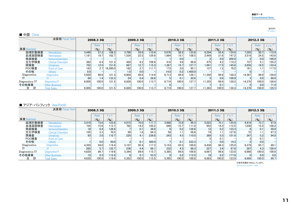## (百万円)<br>(¥ million)

#### ■ 中国 China

|                | 決算期 Fiscal Term           |       | 2008.3 3Q |          |       | 2009.3 3Q |       |                  | 2010.3 3Q        |           |        | 2011.3 3Q                  |           |        | 2012.3 3Q    |                  |
|----------------|---------------------------|-------|-----------|----------|-------|-----------|-------|------------------|------------------|-----------|--------|----------------------------|-----------|--------|--------------|------------------|
|                |                           |       | Ratio     | YoY      |       | Ratio     | YoY   |                  | Ratio            | YoY       |        | Ratio                      | YoY       |        | <b>Ratio</b> | YoY <sup>*</sup> |
| 事業 Business    |                           |       | $(9)_{0}$ | (%       |       | $($ % $)$ | (9)   |                  | $($ % $)$        | $(9)_{0}$ |        | $\left(\frac{9}{6}\right)$ | $($ % $)$ |        | $($ % $)$    | $($ % $)$        |
| 血球計数検査         | Hematology                | 3.440 | 57.3      | 108.3    | 3.798 | 55.6      | 110.4 | 5.076            | 58.2             | 133.6     | 6.294  | 55.4                       | 124.0     | 7,293  | 50.7         | 115.9            |
| 血液凝固検査         | <b>Hemostasis</b>         | 1.181 | 19.7      | 162.7    | 1.534 | 22.5      | 129.9 | 1.664            | 19.1             | 108.5     | 2.449  | 21.6                       | 147.2     | 3.516  | 24.5         | 143.6            |
| 免疫検査           | Immunochemistry           |       |           |          |       |           |       |                  | 0.0 <sub>1</sub> |           |        | 0.0                        | 200.0     |        | 0.0          | 100.0            |
| 生化学検査          | <b>Clinical Chemistry</b> | 382   | 6.4       | 121.3    | 420   | 6.2       | 109.9 | 416              | 4.8              | 99.0      | 475    | 4.2                        | 114.2     | 737    | 5.1          | 155.2            |
| 尿検査            | <b>Urinalysis</b>         | 752   | 12.5      | 151.6    | 867   | 12.7      | 115.3 | 1,367            | 15.7             | 157.7     | 1.991  | 17.5                       | 145.6     | 2,656  | 18.5         | 133.4            |
| POC検査          | <b>Point of Care</b>      | 163   | 2.7       | 16.300.0 | 182   | 2.7       | 111.7 | 173 <sub>1</sub> | 2.0              | 95.1      | 137    | 1.2                        | 79.2      | 161    | 1.1          | 117.5            |
| その他            | <b>Others</b>             | 0.0   |           |          | 1.0   | 0.0       |       | 14.0             | 0.2              | .400.0    |        |                            |           |        |              |                  |
| Diagnostics    | <b>Diagnostics</b>        | 5.920 | 98.6      | 121.3    | 6.804 | 99.6      | 114.9 | 8.713            | 99.9             | 128.1     | 11.350 | 99.9                       | 130.3     | 14.367 | 99.9         | 126.6            |
|                |                           | 84    | 1.4       | 133.3    | 24    | 0.4       | 28.6  |                  | 0.1              | 20.8      |        | 0.0                        | 100.0     |        | 0.0          | 60.0             |
| Diagnostics/IT | Diagnostics/IT            | 6.005 | 100.0     | 121.5    | 6.828 | 100.0     | 113.7 | 8.719            | 100.0            | 127.7     | 11.355 | 99.9                       | 130.2     | 14.370 | 100.0        | 126.6            |
| その他事業          | <b>Other Business</b>     |       |           |          |       |           |       |                  |                  |           |        | 0.1                        |           |        | 0.0          | 71.4             |
| 合              | <b>Total Sales</b>        | 6,005 | 100.0     | 121.5    | 6.828 | 100.0     | 113.7 | 8.719            | 100.0            | 127.7     | 1.363  | 100.0                      | 130.3     | 14.376 | 100.0        | 126.5            |

#### ■ アジア・パシフィック Asia-Pacific

| 決算期 Fiscal Term |                           |       | 2008.3 3Q |                            | 2009.3 3Q |           | 2010.3 3Q                  |       | 2011.3 30 |       |       | 2012.3 3Q |           |       |              |                            |
|-----------------|---------------------------|-------|-----------|----------------------------|-----------|-----------|----------------------------|-------|-----------|-------|-------|-----------|-----------|-------|--------------|----------------------------|
|                 |                           |       | Ratio     | YoY                        |           | Ratio     | YoY                        |       | Ratio     | YoY   |       | Ratio     | YoY       |       | <b>Ratio</b> | $Y_0Y^*$                   |
| 事業 Business     |                           |       | (9/6)     | $\left(\frac{0}{0}\right)$ |           | $($ % $)$ | $\mathcal{O}_{\mathbf{0}}$ |       | (9)       | (9/6) |       | $(9)_{0}$ | $($ % $)$ |       | $($ % $)$    | $\mathcal{O}_{\mathbf{O}}$ |
| 血球計数検査          | Hematology                | 3.410 | 73.6      | 123.6                      | 4.015     | 75.0      | 117.7                      | 3.988 | 73.9      | 99.3  | 5.022 | 75.1      | 125.9     | 4.916 | 73.7         | 97.9                       |
| 血液凝固検査          | <b>Hemostasis</b>         | 724   | 15.6      | 113.7                      | 762       | 14.2      | 105.2                      | 846   | 15.7      | 111.0 | 952   | 14.3      | 112.5     | 1.030 | 15.5         | 108.2                      |
| 免疫検査            | Immunochemistry           | 18    | 0.4       | 128.6                      |           | 0.1       | 38.9                       |       | 0.2       | 128.6 | 12    | 0.2       | 133.3     | 61    | 0.1          | 50.0                       |
| 生化学検査           | <b>Clinical Chemistry</b> | 105   | 2.3       | 70.5                       | 99        | 1.8       | 94.3                       | 58    |           | 58.6  | 74    | 1.1       | 127.6     | 72    | 1.1          | 97.3                       |
| 尿検査             | <b>Urinalysis</b>         | 93    | 2.0       | 110.7                      | 220       | 4.1       | 236.6                      | 243   | 4.5       | 110.5 | 369   | 5.5       | 151.9     | 347   | 5.2          | 94.0                       |
| POC検査           | <b>Point of Care</b>      |       |           |                            |           |           |                            |       |           |       |       | 0.1       |           |       | 0.1          | -1                         |
| その他             | <b>Others</b>             |       | 0.0       | 50.0                       |           | 0.1       | 300.0                      |       | 0.1       | 233.3 |       | 0.0       | 14.3      |       | 0.0          |                            |
| Diagnostics     | <b>Diagnostics</b>        | 4,355 | 94.0      | 119.4                      | 5.107     | 95.4      | 117.3                      | 5.153 | 95.5      | 100.9 | 6.439 | 96.3      | 125.0     | 6,379 | 95.7         | 99.1                       |
|                 |                           | 265   | 5.7       | 122.7                      | 236       | 4.4       | 89.1                       | 232   | 4.3       | 98.3  | 227   | 3.4       | 97.8      | 287   | 4.3          | 126.4                      |
| Diagnostics/IT  | Diagnostics/IT            | 4,620 | 99.7      | 19.6                       | 5.344     | 99.9      | 115.7                      | 5.385 | 99.8      | 100.8 | 6.667 | 99.8      | 123.8     | 6.666 | 100.0        | 100.0                      |
| その他事業           | <b>Other Business</b>     | 15    | 0.3       | 115.4                      | 8         | 0.1       | 53.3                       |       | 0.2       | 112.5 | 16    | 0.2       | 177.8     |       | 0.0          | 0.0                        |
| 合               | <b>Total Sales</b>        | 4.635 | 100.0     | 119.6                      | 5.352     | 100.0     | 115.5                      | 5.395 | 100.0     | 100.8 | 6.683 | 100.0     | 123.9     | 6.666 | 100.0        | 99.7                       |

※前年同期を100%としています。 ※Previous period = 100%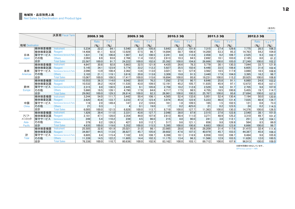(百万円)<br>(¥ million)

| 決算期 Fiscal Term |        | 2008.3 3Q                              |        | 2009.3 3Q |       | 2010.3 3Q |           | 2011.3 3Q |        |       | 2012.3 3Q |        |           |           |        |           |                  |
|-----------------|--------|----------------------------------------|--------|-----------|-------|-----------|-----------|-----------|--------|-------|-----------|--------|-----------|-----------|--------|-----------|------------------|
|                 |        |                                        |        | Ratio     | YoY   |           | Ratio     | YoY       |        | Ratio | YoY       |        | Ratio     | YoY       |        | Ratio     | YoY <sup>*</sup> |
| 地域 Destination  |        |                                        |        | (9)       | (9)   |           | $($ % $)$ | $($ % $)$ |        | (9)   | (9)       |        | $($ % $)$ | $($ % $)$ |        | $($ % $)$ | $($ % $)$        |
|                 | 検体検査機器 | Instrument                             | 5.234  | 22.2      | 84.1  | 5.540     | 22.9      | 105.8     | 5,643  | 22.2  | 101.9     | 7.315  | 27.4      | 129.6     | 7.775  | 28.5      | 106.3            |
|                 | 検体検査試薬 | Reagent                                | 14.408 | 61.1      | 92.8  | 13,929    | 57.5      | 96.7      | 14.894 | 58.7  | 106.9     | 14.200 | 53.3      | 95.3      | 14.763 | 54.2      | 104.0            |
| 日本              | 保守サービス | Maintenance Service & Parts            | 1.831  | 7.8       | 106.8 | 1,987     | 8.2       | 108.5     | 2,241  | 8.8   | 112.8     | 2,458  | 9.2       | 109.7     | 2.525  | 9.3       | 102.7            |
| Japan           | その他    | <b>Others</b>                          | 2.093  | 8.9       | 93.6  | 2.766     | 11.4      | 132.2     | 2.613  | 10.3  | 94.5      | 2.692  | 10.1      | 103.0     | 2.185  | 8.0       | 81.2             |
|                 | 合計     | <b>Total Sales</b>                     | 23.567 | 100.0     | 91.7  | 24.222    | 100.0     | 102.8     | 25.392 | 100.0 | 104.8     | 26.666 | 100.0     | 105.0     | 27.249 | 100.0     | 102.2            |
|                 | 検体検査機器 | <b>Instrument</b>                      | 4.647  | 30.8      | 92.8  | 5.663     | 32.5      | 121.9     | 4.435  | 26.6  | 78.3      | 5.779  | 30.1      | 130.3     | 7.044  | 33.7      | 121.9            |
|                 | 検体検査試薬 | Reagent                                | 5.145  | 34.1      | 123.9 | 5.774     | 33.2      | 112.2     | 5,927  | 35.5  | 102.6     | 6.448  | 33.5      | 108.8     | 6.605  | 31.6      | 102.4            |
| 米州              | 保守サービス | Maintenance Service & Parts            | 2.090  | 13.9      | 108.4 | 2,362     | 13.6      | 113.0     | 3.021  | 18.1  | 127.9     | 3.562  | 18.5      | 117.9     | 3.880  | 18.5      | 108.9            |
| Americas        | その他    | <b>Others</b>                          | 3.183  | 21.1      | 119.1 | 3,616     | 20.8      | 113.6     | 3,309  | 19.8  | 91.5      | 3.440  | 17.9      | 104.0     | 3.395  | 16.2      | 98.7             |
|                 | 合計     | <b>Total Sales</b>                     | 15.067 | 100.0     | 109.5 | 17.417    | 100.0     | 115.6     | 16.694 | 100.0 | 95.8      | 19.231 | 100.0     | 115.2     | 20.925 | 100.0     | 108.8            |
|                 | 検体検査機器 | Instrument                             | 10.553 | 36.3      | 114.0 | 8.042     | 30.0      | 76.2      | 7,292  | 27.0  | 90.7      | 6.646  | 25.8      | 91.1      | 6.860  | 24.8      | 103.2            |
|                 | 検体検査試薬 | Reagent                                | 10,532 | 36.2      | 142.9 | 11,535    | 43.0      | 109.5     | 12.191 | 45.2  | 105.7     | 11.835 | 45.9      | 97.1      | 12,672 | 45.8      | 107.1            |
| 欧州              | 保守サービス | <b>Maintenance Service &amp; Parts</b> | 2,315  | 8.0       | 130.5 | 2,445     | 9.1       | 105.6     | 2,759  | 10.2  | 112.8     | 2,529  | 9.8       | 91.7      | 2.705  | 9.8       | 107.0            |
| Europe          | その他    | <b>Others</b>                          | 5.660  | 19.5      | 139.1 | 4,790     | 17.9      | 84.6      | 4,717  | 17.5  | 98.5      | 4.755  | 18.5      | 100.8     | 5,455  | 19.7      | 114.7            |
|                 | 合計     | <b>Total Sales</b>                     | 29,062 | 100.0     | 129.3 | 26,814    | 100.0     | 92.3      | 26.961 | 100.0 | 100.5     | 25,767 | 100.0     | 95.6      | 27.694 | 100.0     | 107.5            |
|                 | 検体検査機器 | <b>Instrument</b>                      | 3.244  | 54.0      | 111.7 | 3.442     | 50.4      | 106.1     | 4.565  | 52.4  | 132.6     | 5.951  | 52.4      | 130.4     | 7.194  | 50.0      | 120.9            |
|                 | 検体検査試薬 | Reagent                                | 2.620  | 43.6      | 133.7 | 3.233     | 47.3      | 123.4     | 3.974  | 45.6  | 122.9     | 5.223  | 46.0      | 131.4     | 7.035  | 48.9      | 134.7            |
| 中国              | 保守サービス | <b>Maintenance Service &amp; Parts</b> | 118    | 2.0       | 149.4 | 147       | 2.2       | 124.6     | 161    | 1.8   | 109.5     | 165    | 1.5       | 102.5     | 121    | 0.8       | 73.3             |
| China           | その他    | <b>Others</b>                          | 21     | 0.3       |       |           | 0.1       | 19.0      | 17     | 0.2   | 425.0     | 21     | 0.2       | 123.5     | 24     | 0.2       | 114.3            |
|                 | 合計     | <b>Total Sales</b>                     | 6.005  | 100.0     | 121.5 | 6,828     | 100.0     | 113.7     | 8,719  | 100.0 | 127.7     | 11,363 | 100.0     | 130.3     | 14,376 | 100.0     | 126.5            |
|                 | 検体検査機器 | Instrument                             | 1.826  | 39.4      | 111.0 | 2,331     | 43.6      | 127.7     | 2,048  | 38.0  | 87.9      | 2.515  | 37.6      | 122.8     | 2.540  | 38.1      | 101.0            |
| アジア・            | 検体検査試薬 | Reagent                                | 2,181  | 47.1      | 128.0 | 2,354     | 44.0      | 107.9     | 2,613  | 48.4  | 111.0     | 3,271  | 48.9      | 125.2     | 3,310  | 49.7      | 101.2            |
| ハシフィック          | 保守サービス | Maintenance Service & Parts            | 249    | 5.4       | 110.2 | 239       | 4.5       | 96.0      | 215    | 4.0   | 90.0      | 241    | 3.6       | 112.1     | 251    | 3.8       | 104.1            |
| Asia-           | その他    | <b>Others</b>                          | 379    | 8.2       | 126.3 | 427       | 8.0       | 112.7     | 517    | 9.6   | 121.1     | 656    | 9.8       | 126.9     | 564    | 8.5       | 86.0             |
| Pacific         | 合計     | <b>Total Sales</b>                     | 4.635  | 100.0     | 119.6 | 5.352     | 100.0     | 115.5     | 5.395  | 100.0 | 100.8     | 6.683  | 100.0     | 123.9     | 6.666  | 100.0     | 99.7             |
|                 | 検体検査機器 | Instrument                             | 25.505 | 32.6      | 101.9 | 25.021    | 31.0      | 98.1      | 23.985 | 28.8  | 95.9      | 28.209 | 31.4      | 117.6     | 31.415 | 32.4      | 111.4            |
|                 | 検体検査試薬 | Reagent                                | 34.887 | 44.5      | 113.6 | 36.827    | 45.7      | 105.6     | 39.602 | 47.6  | 107.5     | 40.979 | 45.7      | 103.5     | 44.387 | 45.8      | 108.3            |
| 計               | 保守サービス | Maintenance Service & Parts            | 6.605  | 8.4       | 115.4 | 7.182     | 8.9       | 108.7     | 8,398  | 10.1  | 116.9     | 8.958  | 10.0      | 106.7     | 9.484  | 9.8       | 105.9            |
| Total           | その他    | <b>Others</b>                          | 11,339 | 14.5      | 122.2 | 11,605    | 14.4      | 102.3     | 11,175 | 13.4  | 96.3      | 11,566 | 12.9      | 103.5     | 11.626 | 12.0      | 100.5            |
|                 | 合計     | <b>Total Sales</b>                     | 78.338 | 100.0     | 110.7 | 80.636    | 100.0     | 102.9     | 83.162 | 100.0 | 103.1     | 89.712 | 100.0     | 107.9     | 96.913 | 100.0     | 108.0            |

※前年同期を100%としています。

※Previous period = 100%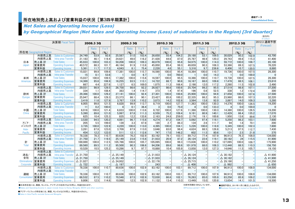## 所在地別売上高および営業利益の状況[第3四半期累計] Consolidated Data

(百万円)

## Net Sales and Operating Income (Loss)

## by Geographical Region (Net Sales and Operating Income (Loss) of subsidiaries in the Region) [3rd Quarter]

|                 |                         |                           |                    |           |         |                    |              |           |                    |           |           |                    |                   |           |                    |           |           | $(Y$ million)             |
|-----------------|-------------------------|---------------------------|--------------------|-----------|---------|--------------------|--------------|-----------|--------------------|-----------|-----------|--------------------|-------------------|-----------|--------------------|-----------|-----------|---------------------------|
|                 |                         | 決算期 Fiscal Term           |                    | 2008.3 3Q |         |                    | 2009.3 3Q    |           |                    | 2010.3 3Q |           |                    | 2011.3 3Q         |           |                    | 2012.3 3Q |           | 2012.3 通期予想<br>(Forecast) |
|                 |                         |                           |                    | Ratio     | YoY     |                    | <b>Ratio</b> | YoY       |                    | Ratio     | YoY       |                    | <b>Ratio</b>      | YoY       |                    | Ratio     | $Y o Y^*$ |                           |
|                 | 所在地 Geographical Region |                           |                    | $($ % $)$ | $(\% )$ |                    | $($ % $)$    | $($ % $)$ |                    | $($ % $)$ | $($ % $)$ |                    | $($ % $)$         | $($ % $)$ |                    | (9/6)     | $($ % $)$ |                           |
|                 | 外部売上高                   | <b>Sales to Customers</b> | 24.749             | 53.9      | 92.6    | 25,587             | 51.0         | 103.4     | 26.650             | 55.4      | 104.2     | 29,188             | 53.1              | 109.5     | 30,029             | 50.2      | 102.9     | 43.700                    |
|                 | 内部売上高                   | Intra-area Transfer       | 21,183             | 46.1      | 119.4   | 24,621             | 49.0         | 116.2     | 21,428             | 44.6      | 87.0      | 25,787             | 46.9              | 120.3     | 29.743             | 49.8      | 115.3     | 41,400                    |
| 日本              | 売上高 計                   | <b>Total Sales</b>        | 45.933             | 100.0     | 103.3   | 50.208             | 100.0        | 109.3     | 48.079             | 100.0     | 95.8      | 54.975             | 100.0             | 114.3     | 59.772             | 100.0     | 108.7     | 85.100                    |
| Japan           | 営業費用                    | <b>Operating Expenses</b> | 40,572             | 88.3      | 101.7   | 46.164             | 91.9         | 113.8     | 45.850             | 95.4      | 99.3      | 49.659             | 90.3              | 108.3     | 53,366             | 89.3      | 107.5     | 76,220                    |
|                 | 営業利益                    | <b>Operating Income</b>   | 5,361              | 11.7      | 117.3   | 4.043              | 8.1          | 75.4      | 2.228              | 4.6       | 55.1      | 5.316              | 9.7               | 238.6     | 6.406              | 10.7      | 120.5     | 8.880                     |
|                 | 外部売上高                   | <b>Sales to Customers</b> | 15,021             | 99.9      | 109.6   | 17,381             | 100.0        | 115.7     | 16,590             | 100.0     | 95.4      | 18,364             | 100.0             | 110.7     | 19,736             | 100.0     | 107.5     | 26,300                    |
|                 | 内部売上高                   | Intra-area Transfer       | 15                 | 0.1       | 53.6    |                    | 0.0          | 6.7       |                    | 0.0       | 700.0     |                    | 0.0               | 14.3      |                    | 0.0       | 100.0     | $\Omega$                  |
| 米州              | 売上高 計                   | <b>Total Sales</b>        | 15,037             | 100.0     | 109.5   | 17,382             | 100.0        | 115.6     | 16.597             | 100.0     | 95.5      | 18,366             | 100.0             | 110.7     | 19.738             | 100.0     | 107.5     | 26,300                    |
| <b>Americas</b> | 営業費用                    | <b>Operating Expenses</b> | 14,369             | 95.6      | 106.9   | 16,255             | 93.5         | 113.1     | 14.722             | 88.7      | 90.6      | 16,167             | 88.0              | 109.8     | 17,478             | 88.5      | 108.1     | 23,810                    |
|                 | 営業利益                    | <b>Operating Income</b>   | 667                | 4.4       | 227.6   | 1.127              | 6.5          | 169.0     | 1.875              | 11.3      | 166.4     | 2.198              | 12.0              | 117.2     | 2.260              | 11.5      | 102.8     | 2,490                     |
|                 | 外部売上高                   | <b>Sales to Customers</b> | 29,031             | 98.9      | 129.5   | 26,758             | 98.6         | 92.2      | 26,927             | 98.6      | 100.6     | 25,704             | 99.2              | 95.5      | 27,519             | 98.8      | 107.1     | 37.200                    |
|                 | 内部売上高                   | Intra-area Transfer       | 334                | 1.1       | 108.4   | 383                | 1.4          | 114.7     | 373                | 1.4       | 97.4      | 196                | 0.8               | 52.5      | 338                | 1.2       | 172.4     | 300                       |
| 欧州              | 売上高 計                   | <b>Total Sales</b>        | 29,366             | 100.0     | 129.2   | 27,141             | 100.0        | 92.4      | 27,301             | 100.0     | 100.6     | 25,900             | 100.0             | 94.9      | 27,858             | 100.0     | 107.6     | 37,500                    |
| Europe          | 営業費用                    | <b>Operating Expenses</b> | 25.947             | 88.4      | 129.3   | 23,373             | 86.1         | 90.1      | 23.427             | 85.8      | 100.2     | 22,335             | 86.2              | 95.3      | 23.960             | 86.0      | 107.3     | 32.220                    |
|                 | 営業利益                    | <b>Operating Income</b>   | 3.419              | 11.6      | 127.9   | 3.767              | 13.9         | 110.2     | 3.873              | 14.2      | 102.8     | 3.564              | 13.8              | 92.0      | 3.897              | 14.0      | 109.3     | 5.280                     |
|                 | 外部売上高                   | <b>Sales to Customers</b> | 6,005              | 99.8      | 121.5   | 6,828              | 99.9         | 113.7     | 8,719              | 100.0     | 127.7     | 11,363             | 100.0             | 130.3     | 14,376             | 100.0     | 126.5     | 19,200                    |
|                 | 内部売上高                   | Intra-area Transfer       | 11                 | 0.2       | 100.0   | 4                  | 0.1          | 36.4      | 3                  | 0.0       | 75.0      | $\overline{4}$     | 0.0               | 133.3     | $\overline{4}$     | 0.0       | 100.0     | $\mathbf 0$               |
| 中国              | 売上高 計                   | <b>Total Sales</b>        | 6.016              | 100.0     | 121.4   | 6.833              | 100.0        | 113.6     | 8.722              | 100.0     | 127.6     | 11.368             | 100.0             | 130.3     | 14.380             | 100.0     | 126.5     | 19.200                    |
| China           | 営業費用                    | <b>Operating Expenses</b> | 5,390              | 89.6      | 121.0   | 5,997              | 87.8         | 111.3     | 6,559              | 75.2      | 109.4     | 9,191              | 80.9              | 140.1     | 12,429             | 86.4      | 135.2     | 17,070                    |
|                 | 営業利益                    | <b>Operating Income</b>   | 625                | 10.4      | 125.3   | 835                | 12.2         | 133.6     | 2,163              | 24.8      | 259.0     | 2,176              | 19.1              | 100.6     | 1,950              | 13.6      | 89.6      | 2,130                     |
|                 | 外部売上高                   | <b>Sales to Customers</b> | 3,530              | 94.5      | 120.2   | 4.081              | 96.7         | 115.6     | 4.274              | 97.2      | 104.7     | 5.092              | 97.4              | 119.1     | 5,250              | 98.2      | 103.1     | 7.600                     |
| アジア・            | 内部売上高                   | Intra-area Transfer       | 205                | 5.5       | 199.0   | 139                | 3.3          | 67.8      | 120                | 2.7       | 86.3      | 134                | 2.6               | 111.7     | 94                 | 1.8       | 70.1      | 200                       |
| パシフィック          | 売上高計                    | <b>Total Sales</b>        | 3,735              | 100.0     | 122.9   | 4,220              | 100.0        | 113.0     | 4,395              | 100.0     | 104.1     | 5,226              | 100.0             | 118.9     | 5,345              | 100.0     | 102.3     | 7.800                     |
| Asia-           | 営業費用                    | <b>Operating Expenses</b> | 3,281              | 87.8      | 123.0   | 3.709              | 87.9         | 113.0     | 3.648              | 83.0      | 98.4      | 4.624              | 88.5              | 126.8     | 5.213              | 97.5      | 112.7     | 7.430                     |
| Pacific         | 営業利益                    | <b>Operating Income</b>   | 454                | 12.2      | 122.0   | 511                | 12.1         | 112.6     | 747                | 17.0      | 146.2     | 602                | 11.5              | 80.6      | 131                | 2.5       | 21.8      | 370                       |
|                 | 外部売上高                   | <b>Sales to Customers</b> | 78,338             | 78.3      | 110.7   | 80,636             | 76.2         | 102.9     | 83.162             | 79.1      | 103.1     | 89.712             | 77.4              | 107.9     | 96.913             | 76.3      | 108.0     | 134.000                   |
|                 | 内部売上高                   | Intra-area Transfer       | 21,750             | 21.7      | 119.5   | 25,149             | 23.8         | 115.6     | 21,933             | 20.9      | 87.2      | 26,124             | 22.6              | 119.1     | 30.182             | 24        | 115.5     | 41,900                    |
| 計               | 売上高 計                   | <b>Total Sales</b>        | 100.089            | 100.0     | 112.5   | 105,786            | 100.0        | 105.7     | 105.095            | 100.0     | 99.3      | 115,836            | 100.0             | 110.2     | 127.095            | 100.0     | 109.7     | 175,900                   |
| <b>Total</b>    | 営業費用                    | <b>Operating Expenses</b> | 89.560             | 89.5      | 111.2   | 95,500             | 90.3         | 106.6     | 94.206             | 89.6      | 98.6      | 101,978            | 88.0              | 108.3     | 112.448            | 88.5      | 110.3     | 156,750                   |
|                 | 営業利益                    | <b>Operating Income</b>   | 10,529             | 10.5      | 125.2   | 10,286             | 9.7          | 97.7      | 10,888             | 10.4      | 105.9     | 13,858             | 12.0              | 127.3     | 14,646             | 11.5      | 105.7     | 19,150                    |
|                 | 外部売上高                   | <b>Sales to Customers</b> |                    |           |         |                    |              |           |                    |           |           |                    |                   |           |                    |           |           |                           |
| 消去/             | 内部売上高                   | Intra-area Transfer       | $\triangle$ 21,750 |           |         | $\triangle$ 25,149 |              |           | $\Delta$ 21.933    |           |           | $\triangle$ 26.124 |                   |           | $\triangle$ 30.182 |           |           | $\triangle$ 41.900        |
| 全社              | 売上高計                    | <b>Total Sales</b>        | $\triangle$ 21,750 |           |         | $\triangle$ 25,149 |              |           | $\Delta$ 21.933    |           |           | $\triangle$ 26,124 | $\qquad \qquad -$ |           | $\triangle$ 30.182 |           |           | $\triangle$ 41.900        |
| Eliminations/   | 営業費用                    | <b>Operating Expenses</b> | $\triangle$ 21,027 |           |         | $\triangle$ 24,952 |              |           | $\triangle$ 22,176 |           |           | $\triangle$ 25,715 |                   |           | △ 29,190           |           |           | $\triangle$ 41,250        |
| Corporate       | 営業利益                    | Operating Income          | $\triangle$ 722    |           |         | △ 197              |              |           | 243                |           |           | $\triangle$ 408    |                   |           | △ 992              |           |           | $\Delta$ 650              |
|                 | 外部売上高                   | <b>Sales to Customers</b> | 78,338             | 100.0     | 110.7   | 80,636             | 100.0        | 102.9     | 83,162             | 100.0     | 103.1     | 89,712             | 100.0             | 107.9     | 96,913             | 100.0     | 108.0     | 134,000                   |
|                 | 内部売上高                   | Intra-area Transfer       |                    |           |         |                    |              |           |                    |           |           |                    |                   |           |                    |           |           |                           |
| 連結              | 売上高 計                   | <b>Total Sales</b>        | 78,338             | 100.0     | 110.7   | 80.636             | 100.0        | 102.9     | 83.162             | 100.0     | 103.1     | 89.712             | 100.0             | 107.9     | 96.913             | 100.0     | 108.0     | 134.000                   |
| Consolidated    | 営業費用                    | <b>Operating Expenses</b> | 68,532             | 87.5      | 110.2   | 70,548             | 87.5         | 102.9     | 72,030             | 86.6      | 102.1     | 76,263             | 85.0              | 105.9     | 83,258             | 85.9      | 109.2     | 115,500                   |
|                 | 営業利益                    | <b>Operating Income</b>   | 9.806              | 12.5      | 114.6   | 10.088             | 12.5         | 102.9     | 11.132             | 13.4      | 110.3     | 13.449             | 15.0              | 120.8     | 13.654             | 14.1      | 101.5     | 18,500                    |

●日本所在地には、韓国、モンゴル、アイデックス社向けなどの売上、利益を含みます。

●Sales and Operating Income in Japan include those to Korea, Mongolia, IDEXX and other countries.

※前年同期を100%としています。

●通期予想は、2011年11月に修正したものです。 ●Business forecast was revised on November 2011.

●アジア・パシフィック所在地には、韓国、モンゴルなどの売上、利益を含みません。

● Sales in Asia Pacific exclude Korea and Mongolia.

※Previous period = 100%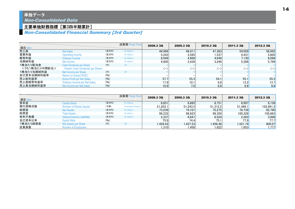## 主要単独財務指標 [第3四半期累計]

## Non-Consolidated Financial Summary [3rd Quarter]

| 項目 Item       |                                                          |       | 決算期 Fiscal Term | 2008.3 3Q                     | 2009.3 3Q | <b>2010.3 3Q</b> | 2011.3 30                   | 2012.3 3Q           |
|---------------|----------------------------------------------------------|-------|-----------------|-------------------------------|-----------|------------------|-----------------------------|---------------------|
| 売上高           | <b>Net Sales</b>                                         | (百万円) | $(*)$ million)  | 44,996                        | 49.411    | 47.383           | 54.059                      | 58.942              |
| 営業利益          | Operating Income                                         | (百万円) | $(*$ million)   | 5.243                         | 3.595     | 1.537            | 4.431                       | 5.605               |
| 経常利益          | Ordinary Income                                          | (百万円) | $(*$ million)   | 8.046                         | 4.968     | 4.649            | 7.130 <mark> </mark>        | 8.088               |
| 当期純利益         | Net Income                                               | (百万円) | $(*$ million)   | 4.905                         | 3.438     | 3.248            | 5.288                       | 5,799               |
| 1株当たり配当金      | Cash Divdends per Share                                  | (円)   | $(*)$           |                               |           |                  |                             |                     |
| <うち1株当たり中間配当> | <interim cash="" dividends="" per="" share=""></interim> |       |                 | $\left\langle -\right\rangle$ | 〈一〉       | 〈-〉              | $\langle \text{--} \rangle$ | $\langle - \rangle$ |
| 1株当たり当期純利益    | Net Income per Share                                     | (円)   | $(\ddot{\ast})$ |                               |           |                  |                             |                     |
| 自己資本当期純利益率    | Return on Equity [ROE]                                   | (96)  |                 |                               |           |                  |                             |                     |
| 売上総利益率        | <b>Gross Profit per Net Sales</b>                        | (96)  |                 | 57.7                          | 55.3      | 54.1             | 55.1                        | 55.2                |
| 売上高経常利益率      | <b>Ordinary Income per Net Sales</b>                     | (96)  |                 | 17.9                          | 10.1      | 9.8              | 13.2                        | 13.7                |
| 売上高当期純利益率     | Net Income per Net Sales                                 | (96)  |                 | 10.9                          | 7.0       | 6.9              | 9.8                         | 9.8                 |

| 項目 Item  |                                     |       | 決算期 Fiscal Term   | 2008.3 3Q | 2009.3 3Q | <b>2010.3 3Q</b> | 2011.3 30 | 2012.3 30 |
|----------|-------------------------------------|-------|-------------------|-----------|-----------|------------------|-----------|-----------|
| 資本金      | <b>Capital Stock</b>                | (百万円) | $(*)$ million)    | 8,651     | 8,685     | 8,751            | 8.997     | 9,136     |
| 発行済株式数   | Number of Shares Issued             | (千株)  | (thousand shares) | 51,203.1  | 51.243.5  | 51.312.2         | 51.446.1  | 102.991.2 |
| 純資産      | <b>Net Assets</b>                   | (百万円) | $(*)$ million)    | 73.239    | 74.101    | 75.275           | 78.739    | 82,790    |
| 総資産      | Total Assets                        | (百万円) | $(*)$ million)    | 96.232    | 98.822    | 99.350           | 100.328   | 105,863   |
| 有利子負債    | <b>Interest-bearing Liabilities</b> | (百万円) | $(*)$ million)    | 2.337     | 6.841     | 6.524            | 2.263     | 3.006     |
| 自己資本比率   | <b>Equity Ratio</b>                 | (96)  |                   | 75.9      | 74.4      | 75.1             | 77.9      | 77.7      |
| 1株当たり純資産 | Net Assets per Share                | (H)   | (¥)               | 1.428.42  | .437.53   | 1.456.46         | 1.521.74  | 800.07    |
| 従業員数     | <b>Number of Employees</b>          |       |                   | 1,310     | ا 456. ا  | 521. ،           | 1,653     | 1.777     |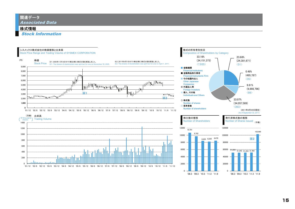## 関連データ Associated Data

## 株式情報

Stock Information



15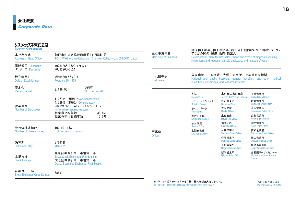| シスメックス株式会社<br><b>Sysmex Corporation</b>       |                                                                                                                                 |                                        |                                                                                                                                                                     |                                      | 臨床検査機器、検査用試薬、粒子分析機器ならびに関連ソフトウェ                            |  |  |
|-----------------------------------------------|---------------------------------------------------------------------------------------------------------------------------------|----------------------------------------|---------------------------------------------------------------------------------------------------------------------------------------------------------------------|--------------------------------------|-----------------------------------------------------------|--|--|
| 本社所在地<br><b>Address of Head Office</b>        | 神戸市中央区脇浜海岸通1丁目5番1号<br>1-5-1, Wakinohama-Kaigandori, Chuo-ku, Kobe, Hyogo 651-0073, Japan                                        | 主な事業内容<br><b>Main Line of Business</b> | アなどの開発・製造・販売・輸出入<br>Development, manufacture, sales, import and export of diagnostics testing<br>instruments and reagents, particle analyzers, and related software |                                      |                                                           |  |  |
| 電話番号 Telephone<br>F A X Facsimile             | (078) 265-0500 (代表)<br>$(078)$ 265-0524                                                                                         |                                        |                                                                                                                                                                     |                                      |                                                           |  |  |
| 設立年月日<br>Date of Establishment                | 昭和43年2月20日<br>February 20, 1968                                                                                                 | 主な販売先<br><b>Customers</b>              | 国立病院、一般病院、大学、研究所、その他医療機関<br>National and public hospitals, general hospitals, and other medical<br>institutions, universities, and research institutes              |                                      |                                                           |  |  |
| 資本金<br><b>Paid-in Capital</b>                 | (千円)<br>9, 136, 901<br>(¥ thousand)                                                                                             |                                        | 本社                                                                                                                                                                  | 東京支社/東京支店                            |                                                           |  |  |
|                                               | 1.777名 (単独/Non-Consolidated)                                                                                                    |                                        | <b>Head Office</b>                                                                                                                                                  | <b>Tokyo Office/Tokyo Branch</b>     | 千葉営業所<br><b>Chiba Sales Office</b>                        |  |  |
|                                               | 4,529名 (連結/Consolidated)                                                                                                        |                                        | ソリューションセンター<br><b>Solution Center</b>                                                                                                                               | 名古屋支店<br>Nagoya Office               | 静岡営業所<br><b>Shizuoka Sales Office</b>                     |  |  |
| 従業員数<br><b>Number of Employees</b>            | ※嘱託及びパートタイマーは含んでおりません。<br><b>※Non-Including part-time employees</b><br>従業員平均年齢<br>38.8 $\pm$                                    |                                        | テクノパーク<br><b>Technopark</b>                                                                                                                                         | 大阪支店<br>Osaka Office                 | 金沢営業所<br>Kanazawa Sales Office                            |  |  |
|                                               | 10.5年<br>従業員平均勤続年数                                                                                                              |                                        | 加古川工場<br><b>Kakogawa Factory</b>                                                                                                                                    | 広島支店<br><b>Hiroshima Office</b>      | 京都営業所<br><b>Kyoto Sales Office</b>                        |  |  |
| 発行済株式総数                                       | 102, 991千株                                                                                                                      |                                        | 仙台支店<br>Sendai Office                                                                                                                                               | 福岡支店<br><b>Fukuoka Office</b>        | 神戸営業所<br><b>Kobe Sales Office</b>                         |  |  |
| Number of Shares Issued                       | (thousand shares)                                                                                                               | 事業所                                    | 北関東支店<br><b>Kita Kanto Office</b>                                                                                                                                   | 札幌営業所<br><b>Sapporo Sales Office</b> | 高松営業所<br><b>Takamatsu Sales Office</b>                    |  |  |
| 決算期                                           | 3月31日                                                                                                                           | <b>Offices</b>                         |                                                                                                                                                                     | 盛岡営業所<br><b>Morioka Sales Office</b> | 岡山営業所<br><b>Okayama Sales Office</b>                      |  |  |
| <b>Settlement Day</b>                         | March 31                                                                                                                        |                                        |                                                                                                                                                                     | 長野営業所<br><b>Nagano Sales Office</b>  | 鹿児島営業所<br>Kagoshima Sales Office                          |  |  |
| 上場市場<br><b>Stock Listings</b>                 | 東京証券取引所 市場第一部<br><b>Tokyo Stock Exchange, First Section</b><br>大阪証券取引所 市場第一部<br><b>Osaka Securities Exchange, First Section</b> |                                        |                                                                                                                                                                     | 新潟営業所<br>Niigata Sales Office        | 首都圏サービスセンター<br><b>Metropolitan Area Service</b><br>Center |  |  |
| 証券コードNo.<br><b>Stock Exchange Code Number</b> | 6869                                                                                                                            |                                        |                                                                                                                                                                     |                                      |                                                           |  |  |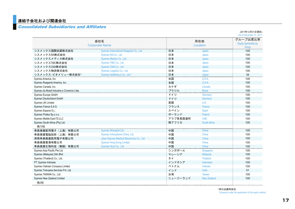## 連結子会社および関連会社

#### Consolidated Subsidiaries and Affiliates

|                                             |                                            |          |                     | (2011年12月31日現在)<br>(As of December 31, 2011) |  |  |  |
|---------------------------------------------|--------------------------------------------|----------|---------------------|----------------------------------------------|--|--|--|
|                                             | 会社名                                        |          | 所在地                 |                                              |  |  |  |
|                                             | <b>Corporate Name</b>                      |          | Location            | <b>Equity Qwnership by</b>                   |  |  |  |
|                                             |                                            |          |                     | Group                                        |  |  |  |
| シスメックス国際試薬株式会社                              | Sysmex International Reagents Co., Ltd.    | 日本       | Japan               | 100                                          |  |  |  |
| シスメックスRA株式会社                                | Sysmex RA Co., Ltd.                        | 日本       | Japan               | 100                                          |  |  |  |
| シスメックスメディカ株式会社                              | Sysmex Medica Co., Ltd.                    | 日本       | Japan               | 100                                          |  |  |  |
| シスメックスTMC株式会社                               | Sysmex TMC Co., Ltd.                       | 日本       | Japan               | 100                                          |  |  |  |
| シスメックスCNA株式会社                               | Sysmex CNA Co., Ltd.                       | 日本       | Japan               | 100                                          |  |  |  |
| シスメックス物流株式会社                                | Sysmex Logistics Co., Ltd.                 | 日本       | Japan               | 100                                          |  |  |  |
| シスメックス·ビオメリュー株式会社*                          | Sysmex bioMérieux Co., Ltd.*               | 日本       | Japan               | 34                                           |  |  |  |
| Sysmex America, Inc.                        |                                            | 米国       | U.S.A.              | 100                                          |  |  |  |
| Sysmex Reagents America, Inc.               |                                            | 米国       | U.S.A.              | 100                                          |  |  |  |
| Sysmex Canada, Inc.                         |                                            | カナダ      | Canada              | 100                                          |  |  |  |
| Sysmex do Brasil Industria e Comercio Ltda. |                                            | ブラジル     | <b>Brazil</b>       | 100                                          |  |  |  |
| Sysmex Europe GmbH                          |                                            | ドイツ      | Germany             | 100                                          |  |  |  |
| Sysmex Deutschland GmbH                     |                                            | ドイツ      | Germany             | 100                                          |  |  |  |
| Sysmex UK Limited                           |                                            | 英国       | U.K.                | 100                                          |  |  |  |
| Sysmex France S.A.S.                        |                                            | フランス     | France              | 100                                          |  |  |  |
| Sysmex Espana S.L.                          |                                            | スペイン     | Spain               | 100                                          |  |  |  |
| Sysmex Polska Sp.z o.o.                     |                                            | ポーランド    | Poland              | 100                                          |  |  |  |
| Sysmex Middle East FZ-LLC                   |                                            | アラブ首長国連邦 | <b>UAF</b>          | 100                                          |  |  |  |
| Sysmex South Africa (Pty) Ltd.              |                                            | 南アフリカ    | <b>South Africa</b> | 100                                          |  |  |  |
| 他13社                                        |                                            |          |                     |                                              |  |  |  |
| 希森美康医用電子(上海)有限公司                            | Sysmex Shanghai Ltd.                       | 中国       | China               | 100                                          |  |  |  |
| 希森美康電脳技術(上海)有限公司                            | Sysmex Infosystems China, Ltd.             | 中国       | China               | 100                                          |  |  |  |
| 済南希森美康医用電子有限公司                              | Jinan Sysmex Medical Electronics Co., Ltd. | 中国       | China               | 100                                          |  |  |  |
| 希森美康香港有限公司                                  | <b>Sysmex Hong Kong Limited</b>            | 中国       | China               | 100                                          |  |  |  |
| 希森美康生物科技(無錫)有限公司                            | Sysmex Wuxi Co., Ltd.                      | 中国       | China               | 100                                          |  |  |  |
| Sysmex Asia Pacific Pte Ltd.                |                                            | シンガポール   | Singapore           | 100                                          |  |  |  |
| Sysmex (Malaysia) Sdn Bhd                   |                                            | マレーシア    | Malaysia            | 100                                          |  |  |  |
| Sysmex (Thailand) Co., Ltd.                 |                                            | タイ       | <b>Thailand</b>     | 100                                          |  |  |  |
| PT. Sysmex Indnesia                         |                                            | インドネシア   | Indonesia           | 100                                          |  |  |  |
| Sysmex Vietnam Company Limited              |                                            | ベトナム     | Vietnam             | 100                                          |  |  |  |
| Sysmex Transasia Services Pvt. Ltd.         |                                            | インド      | India               | 51                                           |  |  |  |
| Sysmex TAIWAN Co., Ltd.                     |                                            | 台湾       | <b>Taiwan</b>       | 100                                          |  |  |  |
| Sysmex New Zealand Limited                  |                                            | ニュージーランド | <b>New Zealand</b>  | 100                                          |  |  |  |
| 他2社                                         |                                            |          |                     |                                              |  |  |  |

\*持分法適用会社 Company under the application of the equity method